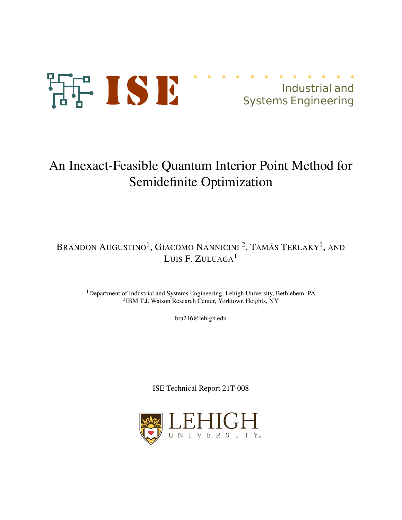

Industrial and Systems Engineering

# An Inexact-Feasible Quantum Interior Point Method for Semidefinite Optimization

# Brandon Augustino<sup>1</sup>, Giacomo Nannicini <sup>2</sup>, Tamás Terlaky<sup>1</sup>, and LUIS F. ZULUAGA<sup>1</sup>

<sup>1</sup>Department of Industrial and Systems Engineering, Lehigh University, Bethlehem, PA 2 IBM T.J. Watson Research Center, Yorktown Heights, NY

bra216@lehigh.edu

ISE Technical Report 21T-008

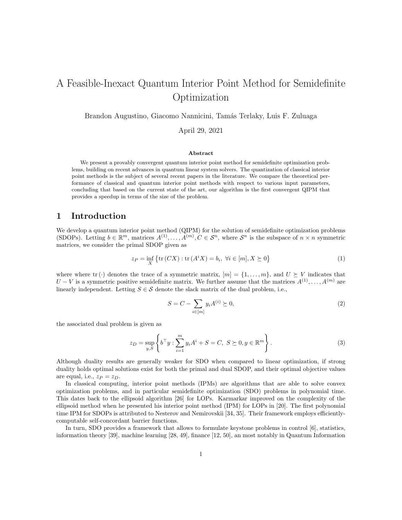# A Feasible-Inexact Quantum Interior Point Method for Semidefinite Optimization

Brandon Augustino, Giacomo Nannicini, Tam´as Terlaky, Luis F. Zuluaga

April 29, 2021

#### Abstract

We present a provably convergent quantum interior point method for semidefinite optimization problems, building on recent advances in quantum linear system solvers. The quantization of classical interior point methods is the subject of several recent papers in the literature. We compare the theoretical performance of classical and quantum interior point methods with respect to various input parameters, concluding that based on the current state of the art, our algorithm is the first convergent QIPM that provides a speedup in terms of the size of the problem.

## 1 Introduction

We develop a quantum interior point method (QIPM) for the solution of semidefinite optimization problems (SDOPs). Letting  $b \in \mathbb{R}^m$ , matrices  $A^{(1)}, \ldots, A^{(m)}, C \in \mathcal{S}^n$ , where  $\mathcal{S}^n$  is the subspace of  $n \times n$  symmetric matrices, we consider the primal SDOP given as

$$
z_P = \inf_X \{ \text{tr}(CX) : \text{tr}(A^i X) = b_i, \ \forall i \in [m], X \succeq 0 \}
$$
 (1)

where where tr (·) denotes the trace of a symmetric matrix,  $[m] = \{1, \ldots, m\}$ , and  $U \succeq V$  indicates that  $U - V$  is a symmetric positive semidefinite matrix. We further assume that the matrices  $A^{(1)}, \ldots, A^{(m)}$  are linearly independent. Letting  $S \in \mathcal{S}$  denote the slack matrix of the dual problem, i.e.,

$$
S = C - \sum_{i \in [m]} y_i A^{(i)} \succeq 0,
$$
\n(2)

the associated dual problem is given as

$$
z_D = \sup_{y,S} \left\{ b^\top y : \sum_{i=1}^m y_i A^i + S = C, \ S \succeq 0, y \in \mathbb{R}^m \right\}.
$$
 (3)

Although duality results are generally weaker for SDO when compared to linear optimization, if strong duality holds optimal solutions exist for both the primal and dual SDOP, and their optimal objective values are equal, i.e.,  $z_P = z_D$ .

In classical computing, interior point methods (IPMs) are algorithms that are able to solve convex optimization problems, and in particular semidefinite optimization (SDO) problems in polynomial time. This dates back to the ellipsoid algorithm [26] for LOPs. Karmarkar improved on the complexity of the ellipsoid method when he presented his interior point method (IPM) for LOPs in [20]. The first polynomial time IPM for SDOPs is attributed to Nesterov and Nemirovskii [34, 35]. Their framework employs efficientlycomputable self-concordant barrier functions.

In turn, SDO provides a framework that allows to formulate keystone problems in control [6], statistics, information theory [39], machine learning [28, 49], finance [12, 50], an most notably in Quantum Information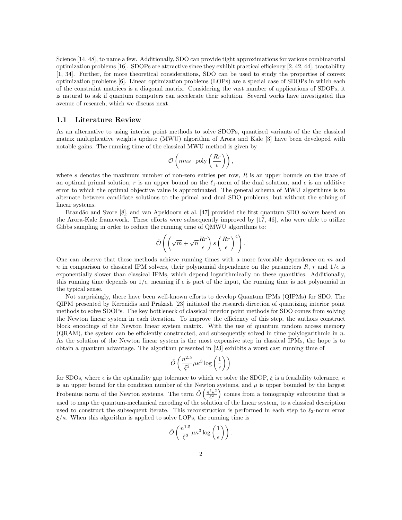Science [14, 48], to name a few. Additionally, SDO can provide tight approximations for various combinatorial optimization problems [16]. SDOPs are attractive since they exhibit practical efficiency [2, 42, 44], tractability [1, 34]. Further, for more theoretical considerations, SDO can be used to study the properties of convex optimization problems [6]. Linear optimization problems (LOPs) are a special case of SDOPs in which each of the constraint matrices is a diagonal matrix. Considering the vast number of applications of SDOPs, it is natural to ask if quantum computers can accelerate their solution. Several works have investigated this avenue of research, which we discuss next.

#### 1.1 Literature Review

As an alternative to using interior point methods to solve SDOPs, quantized variants of the the classical matrix multiplicative weights update (MWU) algorithm of Arora and Kale [3] have been developed with notable gains. The running time of the classical MWU method is given by

$$
\mathcal{O}\left(nms \cdot \text{poly}\left(\frac{Rr}{\epsilon}\right)\right),\
$$

where s denotes the maximum number of non-zero entries per row,  $R$  is an upper bounds on the trace of an optimal primal solution, r is an upper bound on the  $\ell_1$ -norm of the dual solution, and  $\epsilon$  is an additive error to which the optimal objective value is approximated. The general schema of MWU algorithms is to alternate between candidate solutions to the primal and dual SDO problems, but without the solving of linear systems.

Brandão and Svore [8], and van Apeldoorn et al. [47] provided the first quantum SDO solvers based on the Arora-Kale framework. These efforts were subsequently improved by [17, 46], who were able to utilize Gibbs sampling in order to reduce the running time of QMWU algorithms to:

$$
\tilde{\mathcal{O}}\left(\left(\sqrt{m}+\sqrt{n}\frac{Rr}{\epsilon}\right)s\left(\frac{Rr}{\epsilon}\right)^{4}\right).
$$

One can observe that these methods achieve running times with a more favorable dependence on m and n in comparison to classical IPM solvers, their polynomial dependence on the parameters R, r and  $1/\epsilon$  is exponentially slower than classical IPMs, which depend logarithmically on these quantities. Additionally, this running time depends on  $1/\epsilon$ , meaning if  $\epsilon$  is part of the input, the running time is not polynomial in the typical sense.

Not surprisingly, there have been well-known efforts to develop Quantum IPMs (QIPMs) for SDO. The QIPM presented by Kerenidis and Prakash [23] initiated the research direction of quantizing interior point methods to solve SDOPs. The key bottleneck of classical interior point methods for SDO comes from solving the Newton linear system in each iteration. To improve the efficiency of this step, the authors construct block encodings of the Newton linear system matrix. With the use of quantum random access memory  $(QRAM)$ , the system can be efficiently constructed, and subsequently solved in time polylogarithmic in n. As the solution of the Newton linear system is the most expensive step in classical IPMs, the hope is to obtain a quantum advantage. The algorithm presented in [23] exhibits a worst cast running time of

$$
\tilde{O}\left(\frac{n^{2.5}}{\xi^2}\mu\kappa^3\log\left(\frac{1}{\epsilon}\right)\right)
$$

for SDOs, where  $\epsilon$  is the optimality gap tolerance to which we solve the SDOP,  $\xi$  is a feasibility tolerance,  $\kappa$ is an upper bound for the condition number of the Newton systems, and  $\mu$  is upper bounded by the largest Frobenius norm of the Newton systems. The term  $\tilde{O}\left(\frac{n^2\kappa^2}{\epsilon^2}\right)$  $\left(\frac{2\kappa^2}{\xi^2}\right)$  comes from a tomography subroutine that is used to map the quantum-mechanical encoding of the solution of the linear system, to a classical description used to construct the subsequent iterate. This reconstruction is performed in each step to  $\ell_2$ -norm error  $\xi/\kappa$ . When this algorithm is applied to solve LOPs, the running time is

$$
\tilde{O}\left(\frac{n^{1.5}}{\xi^2}\mu\kappa^3\log\left(\frac{1}{\epsilon}\right)\right).
$$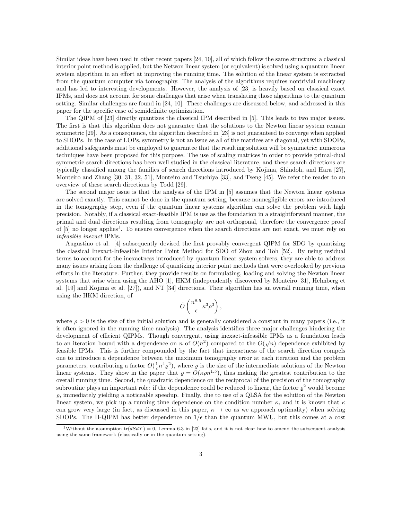Similar ideas have been used in other recent papers [24, 10], all of which follow the same structure: a classical interior point method is applied, but the Netwon linear system (or equivalent) is solved using a quantum linear system algorithm in an effort at improving the running time. The solution of the linear system is extracted from the quantum computer via tomography. The analysis of the algorithms requires nontrivial machinery and has led to interesting developments. However, the analysis of [23] is heavily based on classical exact IPMs, and does not account for some challenges that arise when translating those algorithms to the quantum setting. Similar challenges are found in [24, 10]. These challenges are discussed below, and addressed in this paper for the specific case of semidefinite optimization.

The QIPM of [23] directly quantizes the classical IPM described in [5]. This leads to two major issues. The first is that this algorithm does not guarantee that the solutions to the Newton linear system remain symmetric [29]. As a consequence, the algorithm described in [23] is not guaranteed to converge when applied to SDOPs. In the case of LOPs, symmetry is not an issue as all of the matrices are diagonal, yet with SDOPs, additional safeguards must be employed to guarantee that the resulting solution will be symmetric; numerous techniques have been proposed for this purpose. The use of scaling matrices in order to provide primal-dual symmetric search directions has been well studied in the classical literature, and these search directions are typically classified among the families of search directions introduced by Kojima, Shindoh, and Hara [27], Monteiro and Zhang [30, 31, 32, 51], Monteiro and Tsuchiya [33], and Tseng [45]. We refer the reader to an overview of these search directions by Todd [29].

The second major issue is that the analysis of the IPM in [5] assumes that the Newton linear systems are solved exactly. This cannot be done in the quantum setting, because nonnegligible errors are introduced in the tomography step, even if the quantum linear systems algorithm can solve the problem with high precision. Notably, if a classical exact-feasible IPM is use as the foundation in a straightforward manner, the primal and dual directions resulting from tomography are not orthogonal, therefore the convergence proof of [5] no longer applies<sup>1</sup>. To ensure convergence when the search directions are not exact, we must rely on infeasible inexact IPMs.

Augustino et al. [4] subsequently devised the first provably convergent QIPM for SDO by quantizing the classical Inexact-Infeasible Interior Point Method for SDO of Zhou and Toh [52]. By using residual terms to account for the inexactness introduced by quantum linear system solvers, they are able to address many issues arising from the challenge of quantizing interior point methods that were overlooked by previous efforts in the literature. Further, they provide results on formulating, loading and solving the Newton linear systems that arise when using the AHO [1], HKM (independently discovered by Monteiro [31], Helmberg et al. [19] and Kojima et al. [27]), and NT [34] directions. Their algorithm has an overall running time, when using the HKM direction, of

$$
\tilde{O}\left(\frac{n^{8.5}}{\epsilon}\kappa^3\rho^3\right),
$$

where  $\rho > 0$  is the size of the initial solution and is generally considered a constant in many papers (i.e., it is often ignored in the running time analysis). The analysis identifies three major challenges hindering the development of efficient QIPMs. Though convergent, using inexact-infeasible IPMs as a foundation leads to an iteration bound with a dependence on n of  $O(n^2)$  compared to the  $O(\sqrt{n})$  dependence exhibited by feasible IPMs. This is further compounded by the fact that inexactness of the search direction compels one to introduce a dependence between the maximum tomography error at each iteration and the problem parameters, contributing a factor  $O(\frac{1}{\epsilon}n^4\varrho^2)$ , where  $\varrho$  is the size of the intermediate solutions of the Newton linear systems. They show in the paper that  $\varrho = O(\kappa \rho n^{1.5})$ , thus making the greatest contribution to the overall running time. Second, the quadratic dependence on the reciprocal of the precision of the tomography subroutine plays an important role: if the dependence could be reduced to linear, the factor  $\rho^2$  would become  $\rho$ , immediately yielding a noticeable speedup. Finally, due to use of a QLSA for the solution of the Newton linear system, we pick up a running time dependence on the condition number  $\kappa$ , and it is known that  $\kappa$ can grow very large (in fact, as discussed in this paper,  $\kappa \to \infty$  as we approach optimality) when solving SDOPs. The II-QIPM has better dependence on  $1/\epsilon$  than the quantum MWU, but this comes at a cost

<sup>&</sup>lt;sup>1</sup>Without the assumption  $tr(dSdY) = 0$ , Lemma 6.3 in [23] fails, and it is not clear how to amend the subsequent analysis using the same framework (classically or in the quantum setting).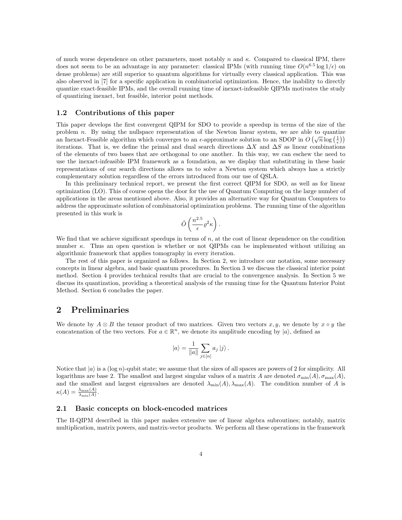of much worse dependence on other parameters, most notably n and  $\kappa$ . Compared to classical IPM, there does not seem to be an advantage in any parameter: classical IPMs (with running time  $O(n^{6.5} \log 1/\epsilon)$  on dense problems) are still superior to quantum algorithms for virtually every classical application. This was also observed in [7] for a specific application in combinatorial optimization. Hence, the inability to directly quantize exact-feasible IPMs, and the overall running time of inexact-infeasible QIPMs motivates the study of quantizing inexact, but feasible, interior point methods.

#### 1.2 Contributions of this paper

This paper develops the first convergent QIPM for SDO to provide a speedup in terms of the size of the problem n. By using the nullspace representation of the Newton linear system, we are able to quantize an Inexact-Feasible algorithm which converges to an  $\epsilon$ -approximate solution to an SDOP in  $O(\sqrt{n}\log(\frac{1}{\epsilon}))$ iterations. That is, we define the primal and dual search directions  $\Delta X$  and  $\Delta S$  as linear combinations of the elements of two bases that are orthogonal to one another. In this way, we can eschew the need to use the inexact-infeasible IPM framework as a foundation, as we display that substituting in these basic representations of our search directions allows us to solve a Newton system which always has a strictly complementary solution regardless of the errors introduced from our use of QSLA.

In this preliminary technical report, we present the first correct QIPM for SDO, as well as for linear optimization (LO). This of course opens the door for the use of Quantum Computing on the large number of applications in the areas mentioned above. Also, it provides an alternative way for Quantum Computers to address the approximate solution of combinatorial optimization problems. The running time of the algorithm presented in this work is

$$
\tilde{O}\left(\frac{n^{2.5}}{\epsilon}\varrho^2\kappa\right).
$$

We find that we achieve significant speedups in terms of  $n$ , at the cost of linear dependence on the condition number  $\kappa$ . Thus an open question is whether or not QIPMs can be implemented without utilizing an algorithmic framework that applies tomography in every iteration.

The rest of this paper is organized as follows. In Section 2, we introduce our notation, some necessary concepts in linear algebra, and basic quantum procedures. In Section 3 we discuss the classical interior point method. Section 4 provides technical results that are crucial to the convergence analysis. In Section 5 we discuss its quantization, providing a theoretical analysis of the running time for the Quantum Interior Point Method. Section 6 concludes the paper.

## 2 Preliminaries

We denote by  $A \otimes B$  the tensor product of two matrices. Given two vectors  $x, y$ , we denote by  $x \circ y$  the concatenation of the two vectors. For  $a \in \mathbb{R}^n$ , we denote its amplitude encoding by  $|a\rangle$ , defined as

$$
|a\rangle = \frac{1}{\|a\|} \sum_{j \in [n]} a_j |j\rangle.
$$

Notice that  $|a\rangle$  is a (log n)-qubit state; we assume that the sizes of all spaces are powers of 2 for simplicity. All logarithms are base 2. The smallest and largest singular values of a matrix A are denoted  $\sigma_{\min}(A), \sigma_{\max}(A)$ , and the smallest and largest eigenvalues are denoted  $\lambda_{\min}(A), \lambda_{\max}(A)$ . The condition number of A is  $\kappa(A) = \frac{\lambda_{\max}(A)}{\lambda_{\min}(A)}.$ 

#### 2.1 Basic concepts on block-encoded matrices

The II-QIPM described in this paper makes extensive use of linear algebra subroutines; notably, matrix multiplication, matrix powers, and matrix-vector products. We perform all these operations in the framework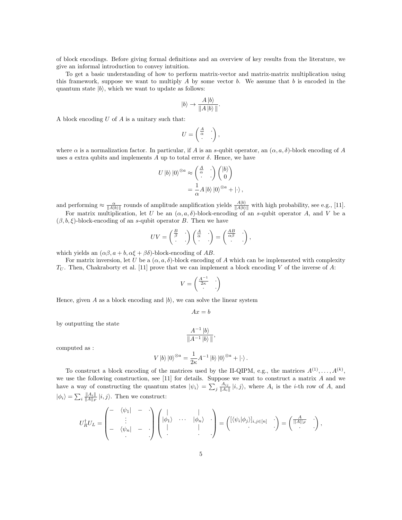of block encodings. Before giving formal definitions and an overview of key results from the literature, we give an informal introduction to convey intuition.

To get a basic understanding of how to perform matrix-vector and matrix-matrix multiplication using this framework, suppose we want to multiply A by some vector b. We assume that b is encoded in the quantum state  $|b\rangle$ , which we want to update as follows:

$$
|b\rangle \rightarrow \frac{A\,|b\rangle}{\|A\,|b\rangle\,\|}.
$$

A block encoding  $U$  of  $A$  is a unitary such that:

$$
U = \begin{pmatrix} \frac{A}{\alpha} & \cdot \\ \cdot & \cdot \end{pmatrix},
$$

where  $\alpha$  is a normalization factor. In particular, if A is an s-qubit operator, an  $(\alpha, a, \delta)$ -block encoding of A uses a extra qubits and implements A up to total error  $\delta$ . Hence, we have

$$
U |b\rangle |0\rangle^{\otimes a} \approx \begin{pmatrix} \frac{A}{\alpha} & \cdot \\ \cdot & \cdot \end{pmatrix} \begin{pmatrix} |b\rangle \\ 0 \end{pmatrix}
$$

$$
= \frac{1}{\alpha} A |b\rangle |0\rangle^{\otimes a} + |\cdot\rangle ,
$$

and performing  $\approx \frac{\alpha}{\|A\|b\|}$  rounds of amplitude amplification yields  $\frac{A|b}{\|A\|b\|}$  with high probability, see e.g., [11].

For matrix multiplication, let U be an  $(\alpha, a, \delta)$ -block-encoding of an s-qubit operator A, and V be a  $(\beta, b, \xi)$ -block-encoding of an s-qubit operator B. Then we have

$$
UV = \begin{pmatrix} \frac{B}{\beta} & \cdot \\ \cdot & \cdot \end{pmatrix} \begin{pmatrix} \frac{A}{\alpha} & \cdot \\ \cdot & \cdot \end{pmatrix} = \begin{pmatrix} \frac{AB}{\alpha\beta} & \cdot \\ \cdot & \cdot \end{pmatrix}
$$

,

which yields an  $(\alpha\beta, a+b, \alpha\xi+\beta\delta)$ -block-encoding of AB.

For matrix inversion, let U be a  $(\alpha, a, \delta)$ -block encoding of A which can be implemented with complexity  $T_U$ . Then, Chakraborty et al. [11] prove that we can implement a block encoding V of the inverse of A:

$$
V = \begin{pmatrix} \frac{A^{-1}}{2\kappa} & \cdot \\ \cdot & \cdot \end{pmatrix}
$$

Hence, given A as a block encoding and  $|b\rangle$ , we can solve the linear system

$$
Ax = b
$$

by outputting the state

$$
\frac{A^{-1} |b\rangle}{\|A^{-1} |b\rangle\|},
$$

computed as :

$$
V |b\rangle |0\rangle^{\otimes a} = \frac{1}{2\kappa} A^{-1} |b\rangle |0\rangle^{\otimes a} + |\cdot\rangle.
$$

To construct a block encoding of the matrices used by the II-QIPM, e.g., the matrices  $A^{(1)}, \ldots, A^{(k)}$ , we use the following construction, see [11] for details. Suppose we want to construct a matrix A and we have a way of constructing the quantum states  $|\psi_i\rangle = \sum_j \frac{A_{ij}}{\|A_i\|} |i,j\rangle$ , where  $A_i$  is the *i*-th row of A, and  $|\phi_i\rangle = \sum_i \frac{||A_i||}{||A||_F} |i, j\rangle$ . Then we construct:

$$
U_R^{\dagger}U_L = \begin{pmatrix} - & \langle \psi_1 | & - & \cdot \\ \vdots & & \cdot \\ - & \langle \psi_n | & - & \cdot \end{pmatrix} \begin{pmatrix} | & & | \\ |\phi_1 \rangle & \cdots & |\phi_n \rangle & \cdot \\ \cdot & & \cdot & \cdot \end{pmatrix} = \begin{pmatrix} [\langle \psi_i | \phi_j \rangle]_{i,j \in [n]} & \cdot \\ \cdot & \cdot & \cdot \end{pmatrix} = \begin{pmatrix} \frac{A}{||A||_F} & \cdot \\ \cdot & \cdot & \cdot \end{pmatrix},
$$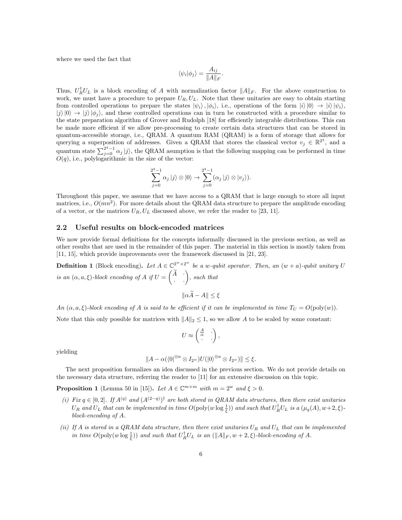where we used the fact that

$$
\langle \psi_i | \phi_j \rangle = \frac{A_{ij}}{\|A\|_F}.
$$

Thus,  $U_R^{\dagger}U_L$  is a block encoding of A with normalization factor  $||A||_F$ . For the above construction to work, we must have a procedure to prepare  $U_R, U_L$ . Note that these unitaries are easy to obtain starting from controlled operations to prepare the states  $|\psi_i\rangle, |\phi_i\rangle$ , i.e., operations of the form  $|i\rangle|0\rangle \rightarrow |i\rangle|\psi_i\rangle$ ,  $|j\rangle|0\rangle \rightarrow |j\rangle|\phi_i\rangle$ , and these controlled operations can in turn be constructed with a procedure similar to the state preparation algorithm of Grover and Rudolph [18] for efficiently integrable distributions. This can be made more efficient if we allow pre-processing to create certain data structures that can be stored in quantum-accessible storage, i.e., QRAM. A quantum RAM (QRAM) is a form of storage that allows for querying a superposition of addresses. Given a QRAM that stores the classical vector  $v_j \in \mathbb{R}^{2^q}$ , and a quantum state  $\sum_{j=0}^{2^q-1} \alpha_j |j\rangle$ , the QRAM asumption is that the following mapping can be performed in time  $O(q)$ , i.e., polylogarithmic in the size of the vector:

$$
\sum_{j=0}^{2^q-1} \alpha_j |j\rangle \otimes |0\rangle \rightarrow \sum_{j=0}^{2^q-1} (\alpha_j |j\rangle \otimes |v_j\rangle).
$$

Throughout this paper, we assume that we have access to a QRAM that is large enough to store all input matrices, i.e.,  $O(mn^2)$ . For more details about the QRAM data structure to prepare the amplitude encoding of a vector, or the matrices  $U_R, U_L$  discussed above, we refer the reader to [23, 11].

#### 2.2 Useful results on block-encoded matrices

We now provide formal definitions for the concepts informally discussed in the previous section, as well as other results that are used in the remainder of this paper. The material in this section is mostly taken from [11, 15], which provide improvements over the framework discussed in [21, 23].

**Definition 1** (Block encoding). Let  $A \in \mathbb{C}^{2^w \times 2^w}$  be a w-qubit operator. Then, an  $(w + a)$ -qubit unitary U is an  $(\alpha, a, \xi)$ -block encoding of A if  $U =$  $\begin{pmatrix} \widetilde A & \cdot \\ \cdot & \cdot \end{pmatrix}$ , such that  $\|\alpha \widetilde{A} - A\| \leq \xi$ 

An  $(\alpha, a, \xi)$ -block encoding of A is said to be efficient if it can be implemented in time  $T_U = O(\text{poly}(w))$ . Note that this only possible for matrices with  $||A||_2 \leq 1$ , so we allow A to be scaled by some constant:

$$
U \approx \begin{pmatrix} \frac{A}{\alpha} & \cdot \\ \cdot & \cdot \end{pmatrix},
$$

yielding

$$
||A - \alpha(\langle 0|^{\otimes a} \otimes I_{2^w})U(|0\rangle^{\otimes a} \otimes I_{2^w})|| \leq \xi.
$$

The next proposition formalizes an idea discussed in the previous section. We do not provide details on the necessary data structure, referring the reader to [11] for an extensive discussion on this topic.

**Proposition 1** (Lemma 50 in [15]). Let  $A \in \mathbb{C}^{m \times m}$  with  $m = 2^w$  and  $\xi > 0$ .

- (i) Fix  $q \in [0,2]$ . If  $A^{(q)}$  and  $(A^{(2-q)})^{\dagger}$  are both stored in QRAM data structures, then there exist unitaries  $U_R$  and  $U_L$  that can be implemented in time  $O(\text{poly}(w \log \frac{1}{\xi}))$  and such that  $U_R^{\dagger} U_L$  is a  $(\mu_q(A), w+2, \xi)$ block-encoding of A.
- (ii) If A is stored in a QRAM data structure, then there exist unitaries  $U_R$  and  $U_L$  that can be implemented in time  $O(\text{poly}(w \log \frac{1}{\xi}))$  and such that  $U_R^{\dagger} U_L$  is an  $(\|A\|_F, w + 2, \xi)$ -block-encoding of A.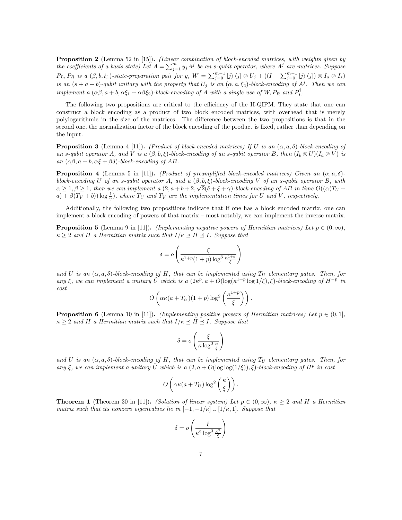Proposition 2 (Lemma 52 in [15]). (Linear combination of block-encoded matrices, with weights given by the coefficients of a basis state) Let  $A = \sum_{j=1}^{m} y_j A^j$  be an s-qubit operator, where  $A^j$  are matrices. Suppose  $P_L, P_R$  is a  $(\beta, b, \xi_1)$ -state-preparation pair for y,  $W = \sum_{j=0}^{m-1} |j\rangle \langle j| \otimes U_j + ((I - \sum_{j=0}^{m-1} |j\rangle \langle j|) \otimes I_a \otimes I_s)$ is an  $(s + a + b)$ -qubit unitary with the property that  $U_j$  is an  $(\alpha, a, \xi_2)$ -block-encoding of  $A^j$ . Then we can implement a  $(\alpha\beta, a+b, \alpha\xi_1+\alpha\beta\xi_2)$ -block-encoding of A with a single use of W,  $P_R$  and  $P_L^{\dagger}$ .

The following two propositions are critical to the efficiency of the II-QIPM. They state that one can construct a block encoding as a product of two block encoded matrices, with overhead that is merely polylogarithmic in the size of the matrices. The difference between the two propositions is that in the second one, the normalization factor of the block encoding of the product is fixed, rather than depending on the input.

**Proposition 3** (Lemma 4 [11]). (Product of block-encoded matrices) If U is an  $(\alpha, a, \delta)$ -block-encoding of an s-qubit operator A, and V is a  $(\beta, b, \xi)$ -block-encoding of an s-qubit operator B, then  $(I_b \otimes U)(I_a \otimes V)$  is an  $(\alpha\beta, a+b, \alpha\xi+\beta\delta)$ -block-encoding of AB.

**Proposition 4** (Lemma 5 in [11]). (Product of preamplified block-encoded matrices) Given an  $(\alpha, a, \delta)$ block-encoding U of an s-qubit operator A, and a  $(\beta, b, \xi)$ -block-encoding V of an s-qubit operator B, with  $\alpha \geq 1, \beta \geq 1$ , then we can implement a  $(2, a+b+2, \sqrt{2}(\delta+\xi+\gamma))$ -block-encoding of AB in time  $O((\alpha(T_U +$  $(a) + \beta(T_V + b)) \log \frac{1}{\gamma}$ , where  $T_U$  and  $T_V$  are the implementation times for U and V, respectively.

Additionally, the following two propositions indicate that if one has a block encoded matrix, one can implement a block encoding of powers of that matrix – most notably, we can implement the inverse matrix.

**Proposition 5** (Lemma 9 in [11]). (Implementing negative powers of Hermitian matrices) Let  $p \in (0, \infty)$ ,  $\kappa \geq 2$  and H a Hermitian matrix such that  $I/\kappa \preceq H \preceq I$ . Suppose that

$$
\delta = o\left(\frac{\xi}{\kappa^{1+p}(1+p)\log^3 \frac{\kappa^{1+p}}{\xi}}\right)
$$

and U is an  $(\alpha, a, \delta)$ -block-encoding of H, that can be implemented using  $T_U$  elementary gates. Then, for any  $\xi$ , we can implement a unitary  $\tilde{U}$  which is a  $(2\kappa^p, a + O(\log(\kappa^{1+p} \log 1/\xi), \xi)$ -block-encoding of  $H^{-p}$  in  $cost$ 

$$
O\left(\alpha\kappa(a+T_U)(1+p)\log^2\left(\frac{\kappa^{1+p}}{\xi}\right)\right).
$$

**Proposition 6** (Lemma 10 in [11]). (Implementing positive powers of Hermitian matrices) Let  $p \in (0,1]$ ,  $\kappa \geq 2$  and H a Hermitian matrix such that  $I/\kappa \preceq H \preceq I$ . Suppose that

$$
\delta = o\left(\frac{\xi}{\kappa \log^3 \frac{\kappa}{\xi}}\right)
$$

and U is an  $(\alpha, a, \delta)$ -block-encoding of H, that can be implemented using  $T_U$  elementary gates. Then, for any  $\xi$ , we can implement a unitary  $\tilde{U}$  which is a  $(2, a + O(\log \log(1/\xi)), \tilde{\xi})$ -block-encoding of  $H^p$  in cost

$$
O\left(\alpha\kappa(a+T_U)\log^2\left(\frac{\kappa}{\xi}\right)\right).
$$

**Theorem 1** (Theorem 30 in [11]). (Solution of linear system) Let  $p \in (0, \infty)$ ,  $\kappa > 2$  and H a Hermitian matrix such that its nonzero eigenvalues lie in  $[-1,-1/\kappa] \cup [1/\kappa,1]$ . Suppose that

$$
\delta = o\left(\frac{\xi}{\kappa^2 \log^3 \frac{\kappa^2}{\xi}}\right)
$$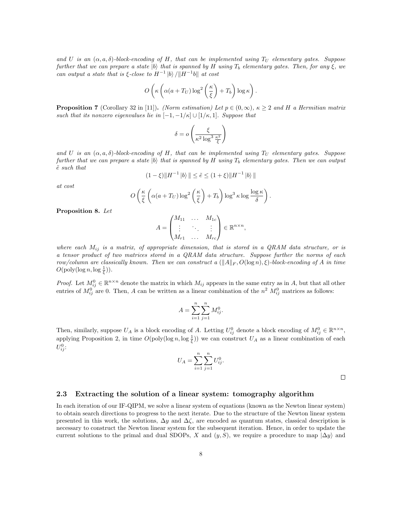and U is an  $(\alpha, a, \delta)$ -block-encoding of H, that can be implemented using  $T_U$  elementary gates. Suppose further that we can prepare a state  $|b\rangle$  that is spanned by H using  $T_b$  elementary gates. Then, for any  $\xi$ , we can output a state that is  $\xi$ -close to  $H^{-1}$  |b)  $/||H^{-1}b||$  at cost

$$
O\left(\kappa\left(\alpha(a+T_U)\log^2\left(\frac{\kappa}{\xi}\right)+T_b\right)\log\kappa\right).
$$

**Proposition 7** (Corollary 32 in [11]). (Norm estimation) Let  $p \in (0, \infty)$ ,  $\kappa \geq 2$  and H a Hermitian matrix such that its nonzero eigenvalues lie in  $[-1, -1/\kappa] \cup [1/\kappa, 1]$ . Suppose that

$$
\delta = o\left(\frac{\xi}{\kappa^2 \log^3 \frac{\kappa^2}{\xi}}\right)
$$

and U is an  $(\alpha, a, \delta)$ -block-encoding of H, that can be implemented using  $T_U$  elementary gates. Suppose further that we can prepare a state |b| that is spanned by H using  $T_b$  elementary gates. Then we can output  $\tilde{e}$  such that

$$
(1 - \xi) \|H^{-1} |b\rangle \| \le \tilde{e} \le (1 + \xi) \|H^{-1} |b\rangle\|
$$

at cost

$$
O\left(\frac{\kappa}{\xi}\left(\alpha(a+T_U)\log^2\left(\frac{\kappa}{\xi}\right)+T_b\right)\log^3\kappa\log\frac{\log\kappa}{\delta}\right)
$$

.

Proposition 8. Let

$$
A = \begin{pmatrix} M_{11} & \dots & M_{1c} \\ \vdots & \ddots & \vdots \\ M_{r1} & \dots & M_{rc} \end{pmatrix} \in \mathbb{R}^{n \times n},
$$

where each  $M_{ij}$  is a matrix, of appropriate dimension, that is stored in a QRAM data structure, or is a tensor product of two matrices stored in a QRAM data structure. Suppose further the norms of each row/column are classically known. Then we can construct a  $(||A||_F, O(log n), \xi)$ -block-encoding of A in time  $O(\text{poly}(\log n, \log \frac{1}{\xi})).$ 

*Proof.* Let  $M_{ij}^0 \in \mathbb{R}^{n \times n}$  denote the matrix in which  $M_{ij}$  appears in the same entry as in A, but that all other entries of  $M_{ij}^0$  are 0. Then, A can be written as a linear combination of the  $n^2$   $M_{ij}^0$  matrices as follows:

$$
A = \sum_{i=1}^{n} \sum_{j=1}^{n} M_{ij}^{0}.
$$

Then, similarly, suppose  $U_A$  is a block encoding of A. Letting  $U_{ij}^0$  denote a block encoding of  $M_{ij}^0 \in \mathbb{R}^{n \times n}$ , applying Proposition 2, in time  $O(\text{poly}(\log n, \log \frac{1}{\xi}))$  we can construct  $U_A$  as a linear combination of each  $U_{ij}^0$ :

$$
U_A = \sum_{i=1}^{n} \sum_{j=1}^{n} U_{ij}^0.
$$

 $\Box$ 

#### 2.3 Extracting the solution of a linear system: tomography algorithm

In each iteration of our IF-QIPM, we solve a linear system of equations (known as the Newton linear system) to obtain search directions to progress to the next iterate. Due to the structure of the Newton linear system presented in this work, the solutions,  $\Delta y$  and  $\Delta \zeta$ , are encoded as quantum states, classical description is necessary to construct the Newton linear system for the subsequent iteration. Hence, in order to update the current solutions to the primal and dual SDOPs, X and  $(y, S)$ , we require a procedure to map  $|\Delta y\rangle$  and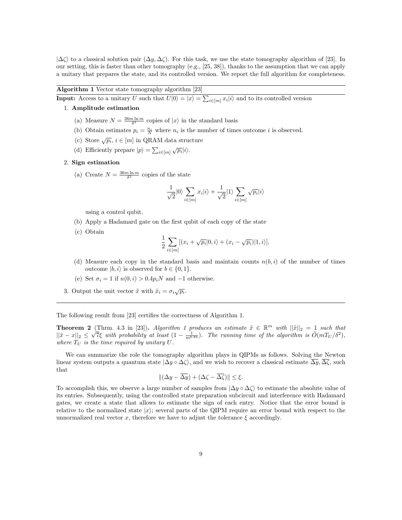$|\Delta\zeta\rangle$  to a classical solution pair  $(\Delta y, \Delta \zeta)$ . For this task, we use the state tomography algorithm of [23]. In our setting, this is faster than other tomography (e.g., [25, 38]), thanks to the assumption that we can apply a unitary that prepares the state, and its controlled version. We report the full algorithm for completeness.

#### Algorithm 1 Vector state tomography algorithm [23]

**Input:** Access to a unitary U such that  $U|0\rangle = |x\rangle = \sum_{i \in [m]} x_i |i\rangle$  and to its controlled version

- 1. Amplitude estimation
	- (a) Measure  $N = \frac{36m \ln m}{\delta^2}$  copies of  $|x\rangle$  in the standard basis
	- (b) Obtain estimates  $p_i = \frac{n_i}{N}$  where  $n_i$  is the number of times outcome *i* is observed.
	- (c) Store  $\sqrt{p_i},\,i\in[m]$  in QRAM data structure
	- (d) Efficiently prepare  $|p\rangle = \sum_{i \in [m]} \sqrt{p_i} |i\rangle$ .

#### 2. Sign estimation

(a) Create  $N = \frac{36m \ln m}{\delta^2}$  copies of the state

$$
\frac{1}{\sqrt{2}}|0\rangle\sum_{i\in[m]}x_i|i\rangle + \frac{1}{\sqrt{2}}|1\rangle\sum_{i\in[m]}\sqrt{p_i}|i\rangle
$$

using a control qubit.

- (b) Apply a Hadamard gate on the first qubit of each copy of the state
- (c) Obtain

$$
\frac{1}{2} \sum_{i \in [m]} [(x_i + \sqrt{p_i}|0, i) + (x_i - \sqrt{p_i})|1, i)].
$$

- (d) Measure each copy in the standard basis and maintain counts  $n(b, i)$  of the number of times outcome  $|b, i\rangle$  is observed for  $b \in \{0, 1\}.$
- (e) Set  $\sigma_i = 1$  if  $n(0, i) > 0.4p_iN$  and -1 otherwise.
- 3. Output the unit vector  $\tilde{x}$  with  $\tilde{x}_i = \sigma_i \sqrt{p_i}$ .

The following result from [23] certifies the correctness of Algorithm 1.

**Theorem 2** (Thrm. 4.3 in [23]). Algorithm 1 produces an estimate  $\tilde{x} \in \mathbb{R}^m$  with  $||\tilde{x}||_2 = 1$  such that  $||\tilde{x} - x||_2 \leq \sqrt{7}\xi$  with probability at least  $(1 - \frac{1}{m^{0.83}})$ . The running time of the algorithm is  $\tilde{O}(mT_U/\delta^2)$ , where  $T_U$  is the time required by unitary  $U$ .

We can summarize the role the tomography algorithm plays in QIPMs as follows. Solving the Newton linear system outputs a quantum state  $|\Delta y \circ \Delta \zeta\rangle$ , and we wish to recover a classical estimate  $\overline{\Delta y}$ ,  $\overline{\Delta \zeta}$ , such that

$$
\|(\Delta y - \overline{\Delta y}) + (\Delta \zeta - \overline{\Delta \zeta})\| \le \xi.
$$

To accomplish this, we observe a large number of samples from  $|\Delta y \circ \Delta \zeta\rangle$  to estimate the absolute value of its entries. Subsequently, using the controlled state preparation subcircuit and interference with Hadamard gates, we create a state that allows to estimate the sign of each entry. Notice that the error bound is relative to the normalized state  $|x\rangle$ ; several parts of the QIPM require an error bound with respect to the unnormalized real vector x, therefore we have to adjust the tolerance  $\xi$  accordingly.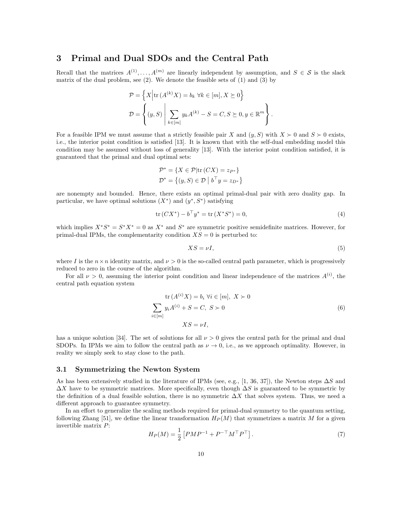# 3 Primal and Dual SDOs and the Central Path

Recall that the matrices  $A^{(1)}, \ldots, A^{(m)}$  are linearly independent by assumption, and  $S \in \mathcal{S}$  is the slack matrix of the dual problem, see (2). We denote the feasible sets of (1) and (3) by

$$
\mathcal{P} = \left\{ X \Big| \text{tr} \left( A^{(k)} X \right) = b_k \ \forall k \in [m], X \succeq 0 \right\}
$$

$$
\mathcal{D} = \left\{ (y, S) \Big| \sum_{k \in [m]} y_k A^{(k)} - S = C, S \succeq 0, y \in \mathbb{R}^m \right\}.
$$

For a feasible IPM we must assume that a strictly feasible pair X and  $(y, S)$  with  $X \succ 0$  and  $S \succ 0$  exists, i.e., the interior point condition is satisfied [13]. It is known that with the self-dual embedding model this condition may be assumed without loss of generality [13]. With the interior point condition satisfied, it is guaranteed that the primal and dual optimal sets:

$$
\mathcal{P}^* = \{ X \in \mathcal{P} | \text{tr}(CX) = z_{P^*} \}
$$

$$
\mathcal{D}^* = \{ (y, S) \in \mathcal{D} \mid b^\top y = z_{D^*} \}
$$

are nonempty and bounded. Hence, there exists an optimal primal-dual pair with zero duality gap. In particular, we have optimal solutions  $(X^*)$  and  $(y^*, S^*)$  satisfying

$$
\text{tr}(CX^*) - b^\top y^* = \text{tr}(X^*S^*) = 0,\tag{4}
$$

which implies  $X^*S^* = S^*X^* = 0$  as  $X^*$  and  $S^*$  are symmetric positive semidefinite matrices. However, for primal-dual IPMs, the complementarity condition  $XS = 0$  is perturbed to:

$$
XS = \nu I,\tag{5}
$$

where I is the  $n \times n$  identity matrix, and  $\nu > 0$  is the so-called central path parameter, which is progressively reduced to zero in the course of the algorithm.

For all  $\nu > 0$ , assuming the interior point condition and linear independence of the matrices  $A^{(i)}$ , the central path equation system

$$
\operatorname{tr}(A^{(i)}X) = b_i \,\forall i \in [m], \ X \succ 0
$$

$$
\sum_{i \in [m]} y_i A^{(i)} + S = C, \ S \succ 0
$$

$$
XS = \nu I,
$$
 (6)

has a unique solution [34]. The set of solutions for all  $\nu > 0$  gives the central path for the primal and dual SDOPs. In IPMs we aim to follow the central path as  $\nu \to 0$ , i.e., as we approach optimality. However, in reality we simply seek to stay close to the path.

#### 3.1 Symmetrizing the Newton System

As has been extensively studied in the literature of IPMs (see, e.g., [1, 36, 37]), the Newton steps  $\Delta S$  and  $\Delta X$  have to be symmetric matrices. More specifically, even though  $\Delta S$  is guaranteed to be symmetric by the definition of a dual feasible solution, there is no symmetric  $\Delta X$  that solves system. Thus, we need a different approach to guarantee symmetry.

In an effort to generalize the scaling methods required for primal-dual symmetry to the quantum setting, following Zhang [51], we define the linear transformation  $H_P(M)$  that symmetrizes a matrix M for a given invertible matrix P:

$$
H_P(M) = \frac{1}{2} \left[ P M P^{-1} + P^{-\top} M^{\top} P^{\top} \right].
$$
 (7)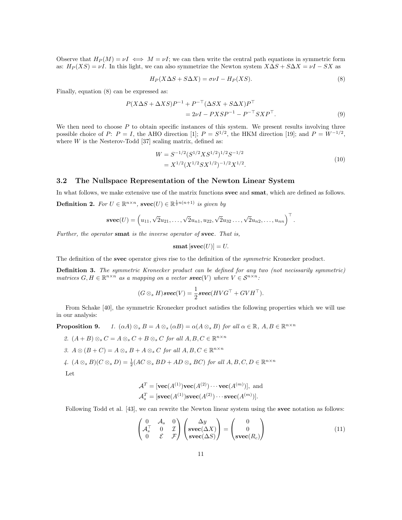Observe that  $H_P(M) = \nu I \iff M = \nu I$ ; we can then write the central path equations in symmetric form as:  $H_P(XS) = \nu I$ . In this light, we can also symmetrize the Newton system  $X\Delta S + S\Delta X = \nu I - SX$  as

$$
H_P(X \Delta S + S \Delta X) = \sigma \nu I - H_P(XS). \tag{8}
$$

Finally, equation (8) can be expressed as:

$$
P(X \Delta S + \Delta X S)P^{-1} + P^{-\top}(\Delta SX + S \Delta X)P^{\top}
$$
  
= 2\nu I - P X S P^{-1} - P^{-\top} S X P^{\top}. (9)

We then need to choose  $P$  to obtain specific instances of this system. We present results involving three possible choice of P:  $P = I$ , the AHO direction [1];  $P = S^{1/2}$ , the HKM direction [19]; and  $P = W^{-1/2}$ , where  $W$  is the Nesterov-Todd [37] scaling matrix, defined as:

$$
W = S^{-1/2} (S^{1/2} X S^{1/2})^{1/2} S^{-1/2}
$$
  
=  $X^{1/2} (X^{1/2} S X^{1/2})^{-1/2} X^{1/2}$ . (10)

.

#### 3.2 The Nullspace Representation of the Newton Linear System

In what follows, we make extensive use of the matrix functions svec and smat, which are defined as follows.

**Definition 2.** For  $U \in \mathbb{R}^{n \times n}$ ,  $\mathbf{svec}(U) \in \mathbb{R}^{\frac{1}{2}n(n+1)}$  is given by

$$
\mathbf{svec}(U) = (u_{11}, \sqrt{2}u_{21}, \dots, \sqrt{2}u_{n1}, u_{22}, \sqrt{2}u_{32}, \dots, \sqrt{2}u_{n2}, \dots, u_{nn})^{\top}
$$

Further, the operator smat is the inverse operator of svec. That is,

$$
\mathbf{smat}\left[\mathbf{svec}(U)\right] = U.
$$

The definition of the svec operator gives rise to the definition of the *symmetric* Kronecker product.

Definition 3. The symmetric Kronecker product can be defined for any two (not necissarily symmetric) matrices  $G, H \in \mathbb{R}^{n \times n}$  as a mapping on a vector **svec**(V) where  $V \in \mathcal{S}^{n \times n}$ :

$$
(G \otimes_s H) \text{ } \textbf{succ}(V) = \frac{1}{2} \textbf{ } \textbf{succ}(HVG^{\top} + GVH^{\top}).
$$

From Schake [40], the symmetric Kronecker product satisfies the following properties which we will use in our analysis:

**Proposition 9.** 1.  $(\alpha A) \otimes_{s} B = A \otimes_{s} (\alpha B) = \alpha (A \otimes_{s} B)$  for all  $\alpha \in \mathbb{R}$ ,  $A, B \in \mathbb{R}^{n \times n}$ 

- 2.  $(A + B) \otimes_s C = A \otimes_s C + B \otimes_s C$  for all  $A, B, C \in \mathbb{R}^{n \times n}$
- 3.  $A \otimes (B + C) = A \otimes_s B + A \otimes_s C$  for all  $A, B, C \in \mathbb{R}^{n \times n}$
- 4.  $(A \otimes_s B)(C \otimes_s D) = \frac{1}{2}(AC \otimes_s BD + AD \otimes_s BC)$  for all  $A, B, C, D \in \mathbb{R}^{n \times n}$

Let

$$
\mathcal{A}^T = [\textbf{vec}(A^{(1)}) \textbf{vec}(A^{(2)}) \cdots \textbf{vec}(A^{(m)})], \text{ and}
$$

$$
\mathcal{A}_s^T = [\textbf{succ}(A^{(1)}) \textbf{succ}(A^{(2)}) \cdots \textbf{succ}(A^{(m)})].
$$

Following Todd et al. [43], we can rewrite the Newton linear system using the svec notation as follows:

$$
\begin{pmatrix}\n0 & A_s & 0 \\
A_s^{\top} & 0 & \mathcal{I} \\
0 & \mathcal{E} & \mathcal{F}\n\end{pmatrix}\n\begin{pmatrix}\n\Delta y \\
\text{spec}(\Delta X) \\
\text{spec}(\Delta S)\n\end{pmatrix} = \begin{pmatrix}\n0 \\
0 \\
\text{spec}(R_c)\n\end{pmatrix}
$$
\n(11)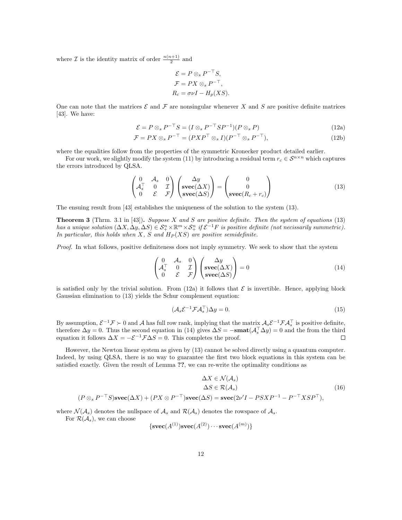where  $\mathcal I$  is the identity matrix of order  $\frac{n(n+1)}{2}$  and

$$
\mathcal{E} = P \otimes_s P^{-\top} S,
$$
  
\n
$$
\mathcal{F} = PX \otimes_s P^{-\top},
$$
  
\n
$$
R_c = \sigma \nu I - H_p(XS).
$$

One can note that the matrices  $\mathcal E$  and  $\mathcal F$  are nonsingular whenever X and S are positive definite matrices [43]. We have:

$$
\mathcal{E} = P \otimes_s P^{-\top} S = (I \otimes_s P^{-\top} S P^{-1})(P \otimes_s P) \tag{12a}
$$

$$
\mathcal{F} = PX \otimes_s P^{-\top} = (PXP^{\top} \otimes_s I)(P^{-\top} \otimes_s P^{-\top}), \tag{12b}
$$

where the equalities follow from the properties of the symmetric Kronecker product detailed earlier.

For our work, we slightly modify the system (11) by introducing a residual term  $r_c \in \mathcal{S}^{n \times n}$  which captures the errors introduced by QLSA.

$$
\begin{pmatrix}\n0 & A_s & 0 \\
A_s^{\top} & 0 & \mathcal{I} \\
0 & \mathcal{E} & \mathcal{F}\n\end{pmatrix}\n\begin{pmatrix}\n\Delta y \\
\text{spec}(\Delta X) \\
\text{spec}(\Delta S)\n\end{pmatrix} = \begin{pmatrix}\n0 \\
0 \\
\text{spec}(R_c + r_c)\n\end{pmatrix}
$$
\n(13)

The ensuing result from [43] establishes the uniqueness of the solution to the system (13).

**Theorem 3** (Thrm. 3.1 in [43]). Suppose X and S are positive definite. Then the system of equations  $(13)$ has a unique solution  $(\Delta X, \Delta y, \Delta S) \in \mathcal{S}_+^n \times \mathbb{R}^m \times \mathcal{S}_+^n$  if  $\mathcal{E}^{-1}F$  is positive definite (not necissarily summetric). In particular, this holds when X, S and  $H_P(XS)$  are positive semidefinite.

Proof. In what follows, positive definiteness does not imply symmetry. We seek to show that the system

$$
\begin{pmatrix}\n0 & A_s & 0 \\
A_s^{\top} & 0 & \mathcal{I} \\
0 & \mathcal{E} & \mathcal{F}\n\end{pmatrix}\n\begin{pmatrix}\n\Delta y \\
\text{svec}(\Delta X) \\
\text{svec}(\Delta S)\n\end{pmatrix} = 0
$$
\n(14)

is satisfied only by the trivial solution. From (12a) it follows that  $\mathcal E$  is invertible. Hence, applying block Gaussian elimination to (13) yields the Schur complement equation:

$$
(\mathcal{A}_s \mathcal{E}^{-1} \mathcal{F} \mathcal{A}_s^\top) \Delta y = 0. \tag{15}
$$

By assumption,  $\mathcal{E}^{-1}\mathcal{F}\succ 0$  and A has full row rank, implying that the matrix  $\mathcal{A}_s\mathcal{E}^{-1}\mathcal{F}\mathcal{A}_s^{\top}$  is positive definite, therefore  $\Delta y = 0$ . Thus the second equation in (14) gives  $\Delta S = -\textbf{smat}(\mathcal{A}_s^{\perp} \Delta y) = 0$  and the from the third equation it follows  $\Delta X = -\mathcal{E}^{-1} \mathcal{F} \Delta S = 0$ . This completes the proof.  $\Box$ 

However, the Newton linear system as given by (13) cannot be solved directly using a quantum computer. Indeed, by using QLSA, there is no way to guarantee the first two block equations in this system can be satisfied exactly. Given the result of Lemma ??, we can re-write the optimality conditions as

$$
\Delta X \in \mathcal{N}(\mathcal{A}_s)
$$
  
\n
$$
\Delta S \in \mathcal{R}(\mathcal{A}_s)
$$
  
\n
$$
\Delta S \in \mathcal{R}(\mathcal{A}_s)
$$
  
\n
$$
(16)
$$
  
\n
$$
(P \otimes_s P^{-\top}S) \mathbf{s} \mathbf{v} \mathbf{e} \mathbf{c} (\Delta X) + (PX \otimes P^{-\top}) \mathbf{s} \mathbf{v} \mathbf{e} \mathbf{c} (\Delta S) = \mathbf{s} \mathbf{v} \mathbf{e} \mathbf{c} (2\nu'I - PSXP^{-1} - P^{-\top}XSP^{\top}),
$$
\n(16)

where  $\mathcal{N}(\mathcal{A}_s)$  denotes the nullspace of  $\mathcal{A}_s$  and  $\mathcal{R}(\mathcal{A}_s)$  denotes the rowspace of  $\mathcal{A}_s$ .

For  $\mathcal{R}(\mathcal{A}_s)$ , we can choose

$$
\left\{ \mathbf{svec}(A^{(1)}) \mathbf{svec}(A^{(2)}) \cdots \mathbf{svec}(A^{(m)}) \right\}
$$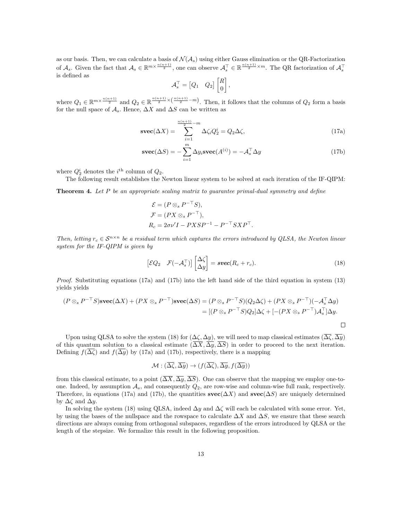as our basis. Then, we can calculate a basis of  $\mathcal{N}(\mathcal{A}_s)$  using either Gauss elimination or the QR-Factorization of  $\mathcal{A}_s$ . Given the fact that  $\mathcal{A}_s \in \mathbb{R}^{m \times \frac{n(n+1)}{2}}$ , one can observe  $\mathcal{A}_s^{\top} \in \mathbb{R}^{\frac{n(n+1)}{2} \times m}$ . The QR factorization of  $\mathcal{A}_s^{\top}$ is defined as

$$
\mathcal{A}_s^\top = \begin{bmatrix} Q_1 & Q_2 \end{bmatrix} \begin{bmatrix} R \\ 0 \end{bmatrix},
$$

where  $Q_1 \in \mathbb{R}^{m \times \frac{n(n+1)}{2}}$  and  $Q_2 \in \mathbb{R}^{\frac{n(n+1)}{2} \times (\frac{n(n+1)}{2} - m)}$ . Then, it follows that the columns of  $Q_2$  form a basis for the null space of  $A_s$ . Hence,  $\Delta X$  and  $\Delta S$  can be written as

$$
\text{spec}(\Delta X) = \sum_{i=1}^{\frac{n(n+1)}{2}-m} \Delta \zeta_i Q_2^i = Q_2 \Delta \zeta,\tag{17a}
$$

$$
\mathbf{svec}(\Delta S) = -\sum_{i=1}^{m} \Delta y_i \mathbf{svec}(A^{(i)}) = -\mathcal{A}_s^{\top} \Delta y \tag{17b}
$$

where  $Q_2^i$  denotes the *i*<sup>th</sup> column of  $Q_2$ .

The following result establishes the Newton linear system to be solved at each iteration of the IF-QIPM:

**Theorem 4.** Let P be an appropriate scaling matrix to guarantee primal-dual symmetry and define

$$
\mathcal{E} = (P \otimes_s P^{-\top} S),
$$
  
\n
$$
\mathcal{F} = (PX \otimes_s P^{-\top}),
$$
  
\n
$$
R_c = 2\sigma \nu' I - P X S P^{-1} - P^{-\top} S X P^{\top}.
$$

Then, letting  $r_c \in S^{n \times n}$  be a residual term which captures the errors introduced by QLSA, the Newton linear system for the IF-QIPM is given by

$$
\begin{bmatrix} \mathcal{E}Q_2 & \mathcal{F}(-\mathcal{A}_s^{\top}) \end{bmatrix} \begin{bmatrix} \Delta \zeta \\ \Delta y \end{bmatrix} = \mathbf{s} \mathbf{vec}(R_c + r_c). \tag{18}
$$

Proof. Substituting equations (17a) and (17b) into the left hand side of the third equation in system (13) yields yields

$$
(P \otimes_s P^{-\top} S) \mathbf{s} \mathbf{v} \mathbf{e} \mathbf{c} (\Delta X) + (PX \otimes_s P^{-\top}) \mathbf{s} \mathbf{v} \mathbf{e} \mathbf{c} (\Delta S) = (P \otimes_s P^{-\top} S)(Q_2 \Delta \zeta) + (PX \otimes_s P^{-\top})(-\mathcal{A}_s^{\top} \Delta y)
$$
  
= 
$$
[(P \otimes_s P^{-\top} S)Q_2] \Delta \zeta + [-(PX \otimes_s P^{-\top})\mathcal{A}_s^{\top}] \Delta y.
$$

Upon using QLSA to solve the system (18) for  $(\Delta \zeta, \Delta y)$ , we will need to map classical estimates  $(\overline{\Delta \zeta}, \overline{\Delta y})$ of this quantum solution to a classical estimate  $(\overline{\Delta X}, \overline{\Delta y}, \overline{\Delta S})$  in order to proceed to the next iteration. Defining  $f(\Delta \zeta)$  and  $f(\Delta y)$  by (17a) and (17b), respectively, there is a mapping

$$
\mathcal{M} : (\overline{\Delta \zeta}, \overline{\Delta y}) \to (f(\overline{\Delta \zeta}), \overline{\Delta y}, f(\overline{\Delta y}))
$$

from this classical estimate, to a point  $(\overline{\Delta X}, \overline{\Delta y}, \overline{\Delta S})$ . One can observe that the mapping we employ one-toone. Indeed, by assumption  $A_s$ , and consequently  $Q_2$ , are row-wise and column-wise full rank, respectively. Therefore, in equations (17a) and (17b), the quantities  $\mathbf{svec}(\Delta X)$  and  $\mathbf{svec}(\Delta S)$  are uniquely determined by  $\Delta \zeta$  and  $\Delta y$ .

In solving the system (18) using QLSA, indeed  $\Delta y$  and  $\Delta \zeta$  will each be calculated with some error. Yet, by using the bases of the nullspace and the rowspace to calculate  $\Delta X$  and  $\Delta S$ , we ensure that these search directions are always coming from orthogonal subspaces, regardless of the errors introduced by QLSA or the length of the stepsize. We formalize this result in the following proposition.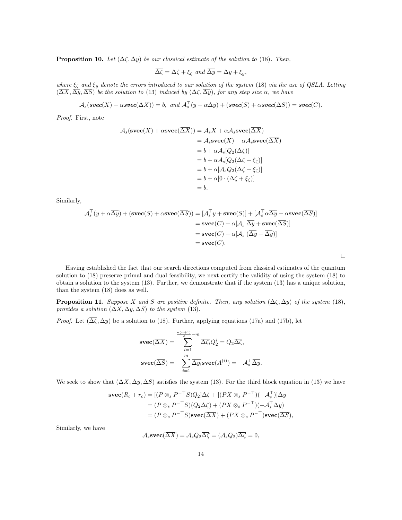**Proposition 10.** Let  $(\overline{\Delta \zeta}, \overline{\Delta y})$  be our classical estimate of the solution to (18). Then,

$$
\overline{\Delta\zeta} = \Delta\zeta + \xi_{\zeta} \text{ and } \overline{\Delta y} = \Delta y + \xi_{y},
$$

where  $\xi_{\zeta}$  and  $\xi_{y}$  denote the errors introduced to our solution of the system (18) via the use of QSLA. Letting  $(\Delta X, \Delta y, \Delta S)$  be the solution to (13) induced by  $(\Delta \zeta, \Delta y)$ , for any step size  $\alpha$ , we have

$$
\mathcal{A}_s(\boldsymbol{\mathit{spec}}(X) + \alpha \boldsymbol{\mathit{spec}}(\overline{\Delta X})) = b, \ \ \textit{and} \ \ \mathcal{A}_s^\top(y + \alpha \overline{\Delta y}) + (\boldsymbol{\mathit{spec}}(S) + \alpha \boldsymbol{\mathit{spec}}(\overline{\Delta S})) = \boldsymbol{\mathit{spec}}(C).
$$

Proof. First, note

$$
A_s(\mathbf{svec}(X) + \alpha \mathbf{svec}(\Delta X)) = A_s X + \alpha A_s \mathbf{svec}(\Delta X)
$$
  
=  $A_s \mathbf{svec}(X) + \alpha A_s \mathbf{svec}(\Delta X)$   
=  $b + \alpha A_s [Q_2(\overline{\Delta \zeta})]$   
=  $b + \alpha A_s [Q_2(\Delta \zeta + \xi_{\zeta})]$   
=  $b + \alpha [A_s Q_2(\Delta \zeta + \xi_{\zeta})]$   
=  $b + \alpha [0 \cdot (\Delta \zeta + \xi_{\zeta})]$   
=  $b$ .

Similarly,

$$
\mathcal{A}_s^{\top}(y + \alpha \overline{\Delta y}) + (\mathbf{svec}(S) + \alpha \mathbf{svec}(\overline{\Delta S})) = [\mathcal{A}_s^{\top} y + \mathbf{svec}(S)] + [\mathcal{A}_s^{\top} \alpha \overline{\Delta y} + \alpha \mathbf{svec}(\overline{\Delta S})]
$$
  
\n
$$
= \mathbf{svec}(C) + \alpha [\mathcal{A}_s^{\top} \overline{\Delta y} + \mathbf{svec}(\overline{\Delta S})]
$$
  
\n
$$
= \mathbf{svec}(C) + \alpha [\mathcal{A}_s^{\top} (\overline{\Delta y} - \overline{\Delta y})]
$$
  
\n
$$
= \mathbf{svec}(C).
$$

 $\Box$ 

Having established the fact that our search directions computed from classical estimates of the quantum solution to (18) preserve primal and dual feasibility, we next certify the validity of using the system (18) to obtain a solution to the system (13). Further, we demonstrate that if the system (13) has a unique solution, than the system (18) does as well.

**Proposition 11.** Suppose X and S are positive definite. Then, any solution  $(\Delta \zeta, \Delta y)$  of the system (18), provides a solution  $(\Delta X, \Delta y, \Delta S)$  to the system (13).

*Proof.* Let  $(\overline{\Delta\zeta}, \overline{\Delta y})$  be a solution to (18). Further, applying equations (17a) and (17b), let

$$
\operatorname{spec}(\overline{\Delta X}) = \sum_{i=1}^{\frac{n(n+1)}{2}-m} \overline{\Delta \zeta_i} Q_2^i = Q_2 \overline{\Delta \zeta},
$$

$$
\operatorname{spec}(\overline{\Delta S}) = -\sum_{i=1}^m \overline{\Delta y_i} \operatorname{spec}(A^{(i)}) = -\mathcal{A}_s^\top \overline{\Delta y}.
$$

We seek to show that  $(\overline{\Delta X}, \overline{\Delta y}, \overline{\Delta S})$  satisfies the system (13). For the third block equation in (13) we have

$$
\begin{split} \mathbf{svec}(R_c + r_c) &= [(P \otimes_s P^{-\top} S)Q_2] \overline{\Delta \zeta} + [(PX \otimes_s P^{-\top})(-\mathcal{A}_s^{\top})] \overline{\Delta y} \\ &= (P \otimes_s P^{-\top} S)(Q_2 \overline{\Delta \zeta}) + (PX \otimes_s P^{-\top})(-\mathcal{A}_s^{\top} \overline{\Delta y}) \\ &= (P \otimes_s P^{-\top} S) \mathbf{svec}(\overline{\Delta X}) + (PX \otimes_s P^{-\top}) \mathbf{svec}(\overline{\Delta S}), \end{split}
$$

Similarly, we have

$$
\mathcal{A}_s \mathbf{vec}(\overline{\Delta X}) = \mathcal{A}_s Q_2 \overline{\Delta \zeta} = (\mathcal{A}_s Q_2) \overline{\Delta \zeta} = 0,
$$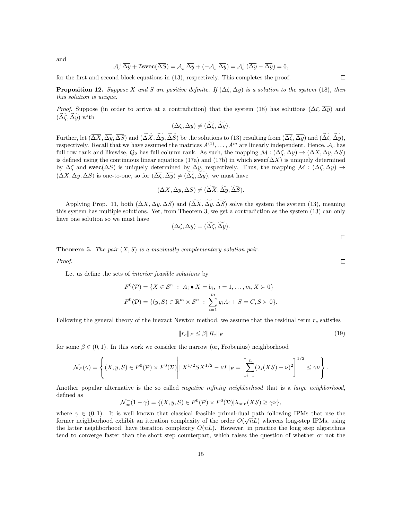and

$$
\mathcal{A}_s^{\top} \overline{\Delta y} + \mathcal{I} \mathbf{s} \mathbf{vec}(\overline{\Delta S}) = \mathcal{A}_s^{\top} \overline{\Delta y} + (-\mathcal{A}_s^{\top} \overline{\Delta y}) = \mathcal{A}_s^{\top} (\overline{\Delta y} - \overline{\Delta y}) = 0,
$$

for the first and second block equations in (13), respectively. This completes the proof.

 $\Box$ 

**Proposition 12.** Suppose X and S are positive definite. If  $(\Delta \zeta, \Delta y)$  is a solution to the system (18), then this solution is unique.

*Proof.* Suppose (in order to arrive at a contradiction) that the system (18) has solutions  $(\overline{\Delta\zeta}, \overline{\Delta}y)$  and  $(\Delta \zeta, \Delta y)$  with

$$
(\overline{\Delta \zeta}, \overline{\Delta y}) \neq (\widetilde{\Delta \zeta}, \widetilde{\Delta y}).
$$

Further, let  $(\overline{\Delta X}, \overline{\Delta y}, \overline{\Delta S})$  and  $(\overline{\Delta X}, \overline{\Delta y}, \overline{\Delta S})$  be the solutions to (13) resulting from  $(\overline{\Delta \zeta}, \overline{\Delta y})$  and  $(\overline{\Delta \zeta}, \overline{\Delta y})$ , respectively. Recall that we have assumed the matrices  $A^{(1)}, \ldots, A^m$  are linearly independent. Hence,  $\mathcal{A}_s$  has full row rank and likewise,  $Q_2$  has full column rank. As such, the mapping  $\mathcal{M}$  :  $(\Delta \zeta, \Delta y) \to (\Delta X, \Delta y, \Delta S)$ is defined using the continuous linear equations (17a) and (17b) in which  $\mathbf{svec}(\Delta X)$  is uniquely determined by  $\Delta\zeta$  and svec( $\Delta S$ ) is uniquely determined by  $\Delta y$ , respectively. Thus, the mapping  $\mathcal{M}$  : ( $\Delta\zeta$ ,  $\Delta y$ )  $\rightarrow$  $(\Delta X, \Delta y, \Delta S)$  is one-to-one, so for  $(\overline{\Delta \zeta}, \overline{\Delta y}) \neq (\Delta \zeta, \Delta y)$ , we must have

$$
(\overline{\Delta X}, \overline{\Delta y}, \overline{\Delta S}) \neq (\overline{\Delta X}, \overline{\Delta y}, \overline{\Delta S}).
$$

Applying Prop. 11, both  $(\overline{\Delta X}, \overline{\Delta y}, \overline{\Delta S})$  and  $(\widetilde{\Delta X}, \widetilde{\Delta y}, \widetilde{\Delta S})$  solve the system the system (13), meaning this system has multiple solutions. Yet, from Theorem 3, we get a contradiction as the system (13) can only have one solution so we must have

$$
(\overline{\Delta\zeta}, \overline{\Delta y}) = (\widetilde{\Delta\zeta}, \widetilde{\Delta y}).
$$

**Theorem 5.** The pair  $(X, S)$  is a maximally complementary solution pair.

Proof.

Let us define the sets of interior feasible solutions by

$$
F^{0}(\mathcal{P}) = \{ X \in \mathcal{S}^{n} : A_{i} \bullet X = b_{i}, i = 1, ..., m, X \succ 0 \}
$$
  

$$
F^{0}(\mathcal{D}) = \{ (y, S) \in \mathbb{R}^{m} \times \mathcal{S}^{n} : \sum_{i=1}^{m} y_{i} A_{i} + S = C, S \succ 0 \}.
$$

Following the general theory of the inexact Newton method, we assume that the residual term  $r_c$  satisfies

$$
||r_c||_F \le \beta ||R_c||_F \tag{19}
$$

for some  $\beta \in (0,1)$ . In this work we consider the narrow (or, Frobenius) neighborhood

$$
\mathcal{N}_F(\gamma)=\left\{(X,y,S)\in F^0(\mathcal{P})\times F^0(\mathcal{D})\Bigg| \|X^{1/2}SX^{1/2}-\nu I\|_F=\left[\sum_{i=1}^n(\lambda_i(XS)-\nu)^2\right]^{1/2}\leq \gamma\nu\right\}.
$$

Another popular alternative is the so called *negative infinity neighborhood* that is a *large neighborhood*, defined as

$$
\mathcal{N}_{\infty}^{-}(1-\gamma) = \{ (X, y, S) \in F^{0}(\mathcal{P}) \times F^{0}(\mathcal{D}) | \lambda_{\min}(XS) \geq \gamma \nu \},\
$$

where  $\gamma \in (0,1)$ . It is well known that classical feasible primal-dual path following IPMs that use the former neighborhood exhibit an iteration complexity of the order  $O(\sqrt{n}L)$  whereas long-step IPMs, using the latter neighborhood, have iteration complexity  $O(nL)$ . However, in practice the long step algorithms tend to converge faster than the short step counterpart, which raises the question of whether or not the

 $\Box$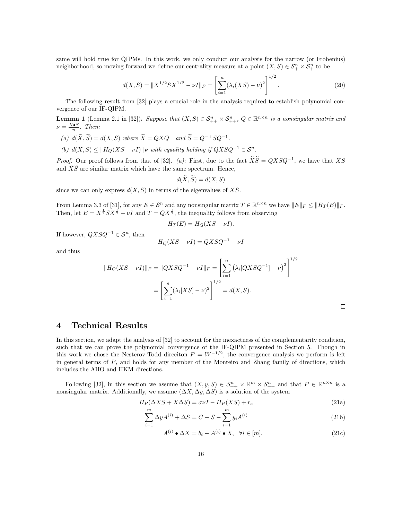same will hold true for QIPMs. In this work, we only conduct our analysis for the narrow (or Frobenius) neighborhood, so moving forward we define our centrality measure at a point  $(X, S) \in \mathcal{S}_{+}^n \times \mathcal{S}_{+}^n$  to be

$$
d(X, S) = \|X^{1/2}SX^{1/2} - \nu I\|_F = \left[\sum_{i=1}^n (\lambda_i(XS) - \nu)^2\right]^{1/2}.
$$
 (20)

The following result from [32] plays a crucial role in the analysis required to establish polynomial convergence of our IF-QIPM.

**Lemma 1** (Lemma 2.1 in [32]). Suppose that  $(X, S) \in S_{++}^n \times S_{++}^n$ ,  $Q \in \mathbb{R}^{n \times n}$  is a nonsingular matrix and  $\nu = \frac{X \bullet S}{n}$ . Then:

- (a)  $d(\tilde{X}, \tilde{S}) = d(X, S)$  where  $\tilde{X} = QXQ^{\top}$  and  $\tilde{S} = Q^{-\top}SQ^{-1}$ .
- (b)  $d(X, S) \leq ||H_Q(XS \nu I)||_F$  with equality holding if  $QXSQ^{-1} \in S^n$ .

*Proof.* Our proof follows from that of [32]. (a): First, due to the fact  $\widetilde{XS} = QXSQ^{-1}$ , we have that XS and  $\widetilde{X}\widetilde{S}$  are similar matrix which have the same spectrum. Hence,

$$
d(\widetilde{X}, \widetilde{S}) = d(X, S)
$$

since we can only express  $d(X, S)$  in terms of the eigenvalues of XS.

From Lemma 3.3 of [31], for any  $E \in \mathcal{S}^n$  and any nonsingular matrix  $T \in \mathbb{R}^{n \times n}$  we have  $||E||_F \le ||H_T(E)||_F$ . Then, let  $E = X^{\frac{1}{2}}SX^{\frac{1}{2}} - \nu I$  and  $T = QX^{\frac{1}{2}}$ , the inequality follows from observing

$$
H_T(E) = H_Q(XS - \nu I).
$$

If however,  $QXSQ^{-1} \in \mathcal{S}^n$ , then

$$
H_Q(XS - \nu I) = QXSQ^{-1} - \nu I
$$

and thus

$$
||H_Q(XS - \nu I)||_F = ||QXSQ^{-1} - \nu I||_F = \left[\sum_{i=1}^n (\lambda_i[QXSQ^{-1}] - \nu)^2\right]^{1/2}
$$

$$
= \left[\sum_{i=1}^n (\lambda_i[XS] - \nu)^2\right]^{1/2} = d(X, S).
$$

# 4 Technical Results

In this section, we adapt the analysis of [32] to account for the inexactness of the complementarity condition, such that we can prove the polynomial convergence of the IF-QIPM presented in Section 5. Though in this work we chose the Nesterov-Todd direction  $P = W^{-1/2}$ , the convergence analysis we perform is left in general terms of  $P$ , and holds for any member of the Monteiro and Zhang family of directions, which includes the AHO and HKM directions.

Following [32], in this section we assume that  $(X, y, S) \in S_{++}^n \times \mathbb{R}^m \times S_{++}^n$  and that  $P \in \mathbb{R}^{n \times n}$  is a nonsingular matrix. Additionally, we assume  $(\Delta X, \Delta y, \Delta S)$  is a solution of the system

$$
H_P(\Delta X S + X \Delta S) = \sigma \nu I - H_P(XS) + r_c \tag{21a}
$$

$$
\sum_{i=1}^{m} \Delta y A^{(i)} + \Delta S = C - S - \sum_{i=1}^{m} y_i A^{(i)}
$$
\n(21b)

$$
A^{(i)} \bullet \Delta X = b_i - A^{(i)} \bullet X, \quad \forall i \in [m]. \tag{21c}
$$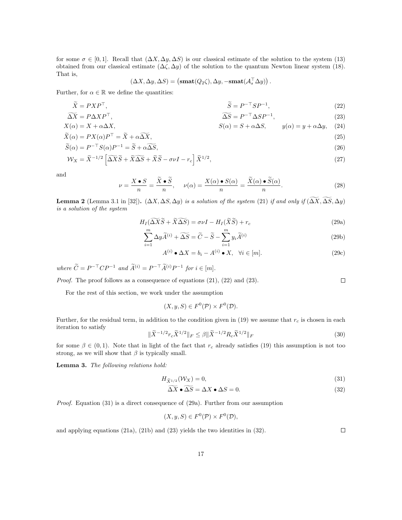for some  $\sigma \in [0,1]$ . Recall that  $(\Delta X, \Delta y, \Delta S)$  is our classical estimate of the solution to the system (13) obtained from our classical estimate  $(\Delta \zeta, \Delta y)$  of the solution to the quantum Newton linear system (18). That is,

$$
(\Delta X, \Delta y, \Delta S) = (\mathbf{smat}(Q_2\zeta), \Delta y, -\mathbf{smat}(\mathcal{A}_s^\top \Delta y)).
$$

Further, for  $\alpha \in \mathbb{R}$  we define the quantities:

$$
\widetilde{X} = PXP^{\top}, \qquad \widetilde{S} = P^{-\top}SP^{-1}, \qquad (22)
$$

$$
\Delta \overline{X} = P \Delta X P^{\top}, \qquad \Delta \overline{S} = P^{-\top} \Delta S P^{-1}, \qquad (23)
$$
\n
$$
Y(\alpha) = Y + \alpha \Delta Y, \qquad S(\alpha) = S + \alpha \Delta S, \qquad v(\alpha) = v + \alpha \Delta v, \qquad (24)
$$

$$
X(\alpha) = X + \alpha \Delta X, \qquad S(\alpha) = S + \alpha \Delta S, \qquad y(\alpha) = y + \alpha \Delta y, \quad (24)
$$

$$
\widetilde{X}(\alpha) = PX(\alpha)P^{\top} = \widetilde{X} + \alpha \widetilde{\Delta X},\tag{25}
$$
\n
$$
\widetilde{X}(\alpha) = P^{\top}S(\alpha)P^{\top} = \widetilde{X} + \alpha \widetilde{\Delta X},\tag{26}
$$

$$
\widetilde{S}(\alpha) = P^{-\top} S(\alpha) P^{-1} = \widetilde{S} + \alpha \widetilde{\Delta S},\tag{26}
$$

$$
\mathcal{W}_X = \widetilde{X}^{-1/2} \left[ \widetilde{\Delta X} \widetilde{S} + \widetilde{X} \widetilde{\Delta S} + \widetilde{X} \widetilde{S} - \sigma \nu I - r_c \right] \widetilde{X}^{1/2},\tag{27}
$$

and

$$
\nu = \frac{X \bullet S}{n} = \frac{\widetilde{X} \bullet \widetilde{S}}{n}, \quad \nu(\alpha) = \frac{X(\alpha) \bullet S(\alpha)}{n} = \frac{\widetilde{X}(\alpha) \bullet \widetilde{S}(\alpha)}{n}.
$$
 (28)

**Lemma 2** (Lemma 3.1 in [32]).  $(\Delta X, \Delta S, \Delta y)$  is a solution of the system (21) if and only if  $(\Delta X, \Delta S, \Delta y)$ is a solution of the system

$$
H_I(\widetilde{\Delta X}\widetilde{S} + \widetilde{X}\widetilde{\Delta S}) = \sigma\nu I - H_I(\widetilde{X}\widetilde{S}) + r_c
$$
\n(29a)

$$
\sum_{i=1}^{m} \Delta y \widetilde{A}^{(i)} + \widetilde{\Delta S} = \widetilde{C} - \widetilde{S} - \sum_{i=1}^{m} y_i \widetilde{A}^{(i)}
$$
\n(29b)

$$
A^{(i)} \bullet \Delta X = b_i - A^{(i)} \bullet X, \quad \forall i \in [m]. \tag{29c}
$$

where  $\widetilde{C} = P^{-\top}CP^{-1}$  and  $\widetilde{A}^{(i)} = P^{-\top}\widetilde{A}^{(i)}P^{-1}$  for  $i \in [m]$ .

Proof. The proof follows as a consequence of equations (21), (22) and (23).  $\Box$ 

For the rest of this section, we work under the assumption

 $(X, y, S) \in F^{0}(\mathcal{P}) \times F^{0}(\mathcal{D}).$ 

Further, for the residual term, in addition to the condition given in (19) we assume that  $r_c$  is chosen in each iteration to satisfy

$$
\|\tilde{X}^{-1/2}r_c\tilde{X}^{1/2}\|_F \le \beta \|\tilde{X}^{-1/2}R_c\tilde{X}^{1/2}\|_F
$$
\n(30)

for some  $\beta \in (0,1)$ . Note that in light of the fact that  $r_c$  already satisfies (19) this assumption is not too strong, as we will show that  $\beta$  is typically small.

Lemma 3. The following relations hold:

$$
H_{\widetilde{X}^{1/2}}(\mathcal{W}_X) = 0,\tag{31}
$$

$$
\widetilde{\Delta X} \bullet \widetilde{\Delta S} = \Delta X \bullet \Delta S = 0. \tag{32}
$$

Proof. Equation (31) is a direct consequence of (29a). Further from our assumption

$$
(X, y, S) \in F^0(\mathcal{P}) \times F^0(\mathcal{D}),
$$

and applying equations (21a), (21b) and (23) yields the two identities in (32).  $\Box$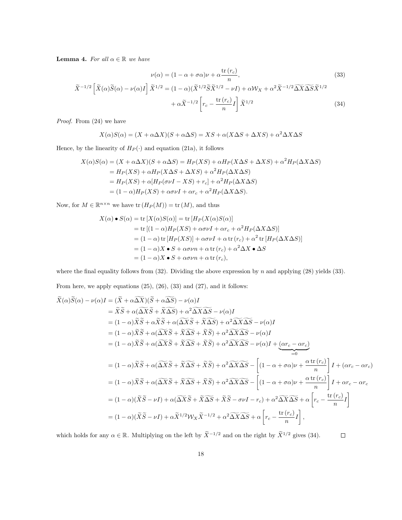**Lemma 4.** For all  $\alpha \in \mathbb{R}$  we have

$$
\nu(\alpha) = (1 - \alpha + \sigma \alpha)\nu + \alpha \frac{\text{tr}(r_c)}{n},
$$
\n
$$
\tilde{X}^{-1/2} \left[ \tilde{X}(\alpha)\tilde{S}(\alpha) - \nu(\alpha)I \right] \tilde{X}^{1/2} = (1 - \alpha)(\tilde{X}^{1/2}\tilde{S}\tilde{X}^{1/2} - \nu I) + \alpha \mathcal{W}_X + \alpha^2 \tilde{X}^{-1/2} \widetilde{\Delta X} \widetilde{\Delta S} \tilde{X}^{1/2} + \alpha \tilde{X}^{-1/2} \left[ r_c - \frac{\text{tr}(r_c)}{n} I \right] \tilde{X}^{1/2}
$$
\n(34)

Proof. From (24) we have

$$
X(\alpha)S(\alpha) = (X + \alpha \Delta X)(S + \alpha \Delta S) = XS + \alpha(X \Delta S + \Delta XS) + \alpha^2 \Delta X \Delta S
$$

Hence, by the linearity of  $H_P(\cdot)$  and equation (21a), it follows

$$
X(\alpha)S(\alpha) = (X + \alpha \Delta X)(S + \alpha \Delta S) = H_P(XS) + \alpha H_P(X\Delta S + \Delta XS) + \alpha^2 H_P(\Delta X \Delta S)
$$
  
=  $H_P(XS) + \alpha H_P(X\Delta S + \Delta XS) + \alpha^2 H_P(\Delta X \Delta S)$   
=  $H_P(XS) + \alpha [H_P(\sigma \nu I - XS) + r_c] + \alpha^2 H_P(\Delta X \Delta S)$   
=  $(1 - \alpha)H_P(XS) + \alpha \sigma \nu I + \alpha r_c + \alpha^2 H_P(\Delta X \Delta S).$ 

Now, for  $M \in \mathbb{R}^{n \times n}$  we have  $\text{tr}(H_P(M)) = \text{tr}(M)$ , and thus

$$
X(\alpha) \bullet S(\alpha) = \text{tr}[X(\alpha)S(\alpha)] = \text{tr}[H_P(X(\alpha)S(\alpha)]
$$
  
= tr [(1 - \alpha)H\_P(XS) + \alpha\sigma\nu I + \alpha r\_c + \alpha^2 H\_P(\Delta X\Delta S)]  
= (1 - \alpha) \text{tr}[H\_P(XS)] + \alpha\sigma\nu I + \alpha \text{tr}(r\_c) + \alpha^2 \text{tr}[H\_P(\Delta X\Delta S)]  
= (1 - \alpha)X \bullet S + \alpha\sigma\nu n + \alpha \text{tr}(r\_c) + \alpha^2 \Delta X \bullet \Delta S  
= (1 - \alpha)X \bullet S + \alpha\sigma\nu n + \alpha \text{tr}(r\_c),

where the final equality follows from  $(32)$ . Dividing the above expression by n and applying  $(28)$  yields  $(33)$ .

From here, we apply equations  $(25)$ ,  $(26)$ ,  $(33)$  and  $(27)$ , and it follows:

$$
\tilde{X}(\alpha)\tilde{S}(\alpha) - \nu(\alpha)I = (\tilde{X} + \alpha\widetilde{\Delta X})(\tilde{S} + \alpha\widetilde{\Delta S}) - \nu(\alpha)I
$$
\n
$$
= \tilde{X}\tilde{S} + \alpha(\widetilde{\Delta X}\tilde{S} + \tilde{X}\widetilde{\Delta S}) + \alpha^2\widetilde{\Delta X}\widetilde{\Delta S} - \nu(\alpha)I
$$
\n
$$
= (1 - \alpha)\tilde{X}\tilde{S} + \alpha\widetilde{X}\tilde{S} + \alpha(\widetilde{\Delta X}\tilde{S} + \tilde{X}\widetilde{\Delta S}) + \alpha^2\widetilde{\Delta X}\widetilde{\Delta S} - \nu(\alpha)I
$$
\n
$$
= (1 - \alpha)\tilde{X}\tilde{S} + \alpha(\widetilde{\Delta X}\tilde{S} + \tilde{X}\widetilde{\Delta S} + \tilde{X}\widetilde{S}) + \alpha^2\widetilde{\Delta X}\widetilde{\Delta S} - \nu(\alpha)I
$$
\n
$$
= (1 - \alpha)\tilde{X}\tilde{S} + \alpha(\widetilde{\Delta X}\tilde{S} + \tilde{X}\widetilde{\Delta S} + \tilde{X}\widetilde{S}) + \alpha^2\widetilde{\Delta X}\widetilde{\Delta S} - \nu(\alpha)I + \underbrace{(\alpha r_c - \alpha r_c)}_{=0}
$$
\n
$$
= (1 - \alpha)\tilde{X}\tilde{S} + \alpha(\widetilde{\Delta X}\tilde{S} + \tilde{X}\widetilde{\Delta S} + \tilde{X}\widetilde{S}) + \alpha^2\widetilde{\Delta X}\widetilde{\Delta S} - \left[ (1 - \alpha + \sigma\alpha)\nu + \frac{\alpha \text{tr}(r_c)}{n} \right]I + (\alpha r_c - \alpha r_c)
$$
\n
$$
= (1 - \alpha)\tilde{X}\tilde{S} + \alpha(\widetilde{\Delta X}\tilde{S} + \tilde{X}\widetilde{\Delta S} + \tilde{X}\widetilde{S}) + \alpha^2\widetilde{\Delta X}\widetilde{\Delta S} - \left[ (1 - \alpha + \sigma\alpha)\nu + \frac{\alpha \text{tr}(r_c)}{n} \right]I + \alpha r_c - \alpha r_c
$$
\n
$$
= (1 - \alpha)(\tilde{X}\tilde{S} - \nu I
$$

which holds for any  $\alpha \in \mathbb{R}$ . Multiplying on the left by  $\widetilde{X}^{-1/2}$  and on the right by  $\widetilde{X}^{1/2}$  gives (34).  $\Box$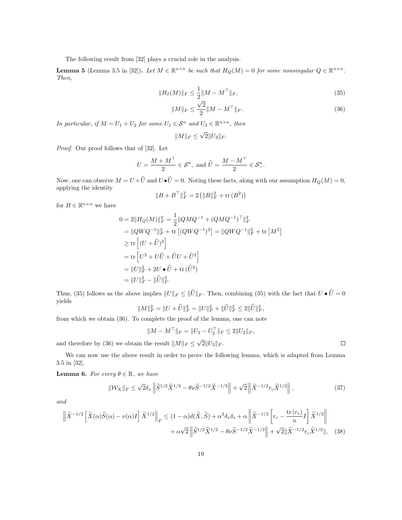The following result from [32] plays a crucial role in the analysis.

**Lemma 5** (Lemma 3.5 in [32]). Let  $M \in \mathbb{R}^{n \times n}$  be such that  $H_Q(M) = 0$  for some nonsingular  $Q \in \mathbb{R}^{n \times n}$ . Then,

$$
||H_I(M)||_F \le \frac{1}{2}||M - M^{\top}||_F,
$$
\n(35)

$$
||M||_F \le \frac{\sqrt{2}}{2} ||M - M^{\top}||_F.
$$
\n(36)

In particular, if  $M = U_1 + U_2$  for some  $U_1 \in S^n$  and  $U_2 \in \mathbb{R}^{n \times n}$ , then

$$
||M||_F \le \sqrt{2}||U_2||_F.
$$

Proof. Our proof follows that of [32]. Let

$$
U=\frac{M+M^\top}{2}\in\mathcal{S}^n, \text{ and } \widehat{U}=\frac{M-M^\top}{2}\in\mathcal{S}_-^n.
$$

Now, one can observe  $M = U + \hat{U}$  and  $U \bullet \hat{U} = 0$ . Noting these facts, along with our assumption  $H_Q(M) = 0$ , applying the identity

$$
\|B+B^\top\|_F^2 = 2\left(\|B\|_F^2 + \text{tr}\left(B^2\right)\right)
$$

for  $B \in \mathbb{R}^{n \times n}$  we have

$$
0 = 2||H_Q(M)||_F^2 = \frac{1}{2}||QMQ^{-1} + (QMQ^{-1})^\top||_F^2
$$
  
\n
$$
= ||QWQ^{-1}||_F^2 + \text{tr} [(QWQ^{-1})^2] = ||QWQ^{-1}||_F^2 + \text{tr} [M^2]
$$
  
\n
$$
\geq \text{tr} [(U + \hat{U})^2]
$$
  
\n
$$
= \text{tr} [U^2 + U\hat{U} + \hat{U}U + \hat{U}^2]
$$
  
\n
$$
= ||U||_F^2 + 2U \cdot \hat{U} + \text{tr} (\hat{U}^2)
$$
  
\n
$$
= ||U||_F^2 - ||\hat{U}||_F^2.
$$

Thus, (35) follows as the above implies  $||U||_F \le ||\hat{U}||_F$ . Then, combining (35) with the fact that  $U \bullet \hat{U} = 0$ yields

$$
||M||_F^2 = ||U + \widehat{U}||_F^2 = ||U||_F^2 + ||\widehat{U}||_F^2 \le 2||\widehat{U}||_F^2,
$$

from which we obtain (36). To complete the proof of the lemma, one can note

$$
||M - M^{\top}||_F = ||U_2 - U_2^{\top}||_F \le 2||U_2||_F,
$$

and therefore by (36) we obtain the result  $||M||_F \leq \sqrt{2}||U_2||_F$ .

We can now use the above result in order to prove the following lemma, which is adapted from Lemma 3.5 in [32].

**Lemma 6.** For every  $\theta \in \mathbb{R}$ , we have

$$
\|\mathcal{W}_X\|_F \le \sqrt{2}\delta_x \left\|\widetilde{S}^{1/2}\widetilde{X}^{1/2} - \theta\nu\widetilde{S}^{-1/2}\widetilde{X}^{-1/2}\right\| + \sqrt{2}\left\|\widetilde{X}^{-1/2}r_c\widetilde{X}^{1/2}\right\|,\tag{37}
$$

and

$$
\left\| \widetilde{X}^{-1/2} \left[ \widetilde{X}(\alpha) \widetilde{S}(\alpha) - \nu(\alpha) I \right] \widetilde{X}^{1/2} \right\|_F \le (1 - \alpha) d(\widetilde{X}, \widetilde{S}) + \alpha^2 \delta_x \delta_s + \alpha \left\| \widetilde{X}^{-1/2} \left[ r_c - \frac{\text{tr}(r_c)}{n} I \right] \widetilde{X}^{1/2} \right\|
$$

$$
+ \alpha \sqrt{2} \left\| \widetilde{S}^{1/2} \widetilde{X}^{1/2} - \theta \nu \widetilde{S}^{-1/2} \widetilde{X}^{-1/2} \right\| + \sqrt{2} \| \widetilde{X}^{-1/2} r_c \widetilde{X}^{1/2} \|, \quad (38)
$$

 $\Box$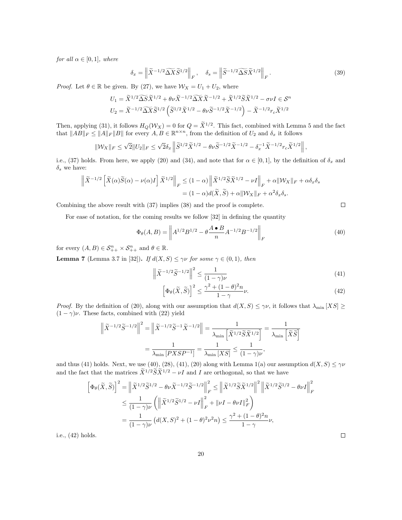for all  $\alpha \in [0,1]$ , where

$$
\delta_x = \left\| \widetilde{X}^{-1/2} \widetilde{\Delta X} \widetilde{S}^{1/2} \right\|_F, \quad \delta_s = \left\| \widetilde{S}^{-1/2} \widetilde{\Delta S} \widetilde{X}^{1/2} \right\|_F. \tag{39}
$$

*Proof.* Let  $\theta \in \mathbb{R}$  be given. By (27), we have  $\mathcal{W}_X = U_1 + U_2$ , where

$$
U_1 = \tilde{X}^{1/2} \widetilde{\Delta S} \tilde{X}^{1/2} + \theta \nu \tilde{X}^{-1/2} \widetilde{\Delta X} \tilde{X}^{-1/2} + \tilde{X}^{1/2} \tilde{S} \tilde{X}^{1/2} - \sigma \nu I \in \mathcal{S}^n
$$
  

$$
U_2 = \tilde{X}^{-1/2} \widetilde{\Delta X} \tilde{S}^{1/2} \left( \tilde{S}^{1/2} \tilde{X}^{1/2} - \theta \nu \tilde{S}^{-1/2} \tilde{X}^{-1/2} \right) - \tilde{X}^{-1/2} r_c \tilde{X}^{1/2}
$$

Then, applying (31), it follows  $H_Q(\mathcal{W}_X) = 0$  for  $Q = \tilde{X}^{1/2}$ . This fact, combined with Lemma 5 and the fact that  $||AB||_F \le ||A||_F ||B||$  for every  $A, B \in \mathbb{R}^{n \times n}$ , from the definition of  $U_2$  and  $\delta_x$  it follows

$$
\|\mathcal{W}_X\|_F \leq \sqrt{2} \|U_2\|_F \leq \sqrt{2}\delta_x \left\|\widetilde{S}^{1/2}\widetilde{X}^{1/2} - \theta \nu \widetilde{S}^{-1/2}\widetilde{X}^{-1/2} - \delta_x^{-1}\widetilde{X}^{-1/2}r_c\widetilde{X}^{1/2}\right\|,
$$

i.e., (37) holds. From here, we apply (20) and (34), and note that for  $\alpha \in [0,1]$ , by the definition of  $\delta_x$  and  $\delta_s$  we have:

$$
\left\| \widetilde{X}^{-1/2} \left[ \widetilde{X}(\alpha) \widetilde{S}(\alpha) - \nu(\alpha) I \right] \widetilde{X}^{1/2} \right\|_F \le (1 - \alpha) \left\| \widetilde{X}^{1/2} \widetilde{S} \widetilde{X}^{1/2} - \nu I \right\|_F + \alpha \| \mathcal{W}_X \|_F + \alpha \delta_x \delta_s
$$
  
=  $(1 - \alpha) d(\widetilde{X}, \widetilde{S}) + \alpha \| \mathcal{W}_X \|_F + \alpha^2 \delta_x \delta_s.$ 

Combining the above result with (37) implies (38) and the proof is complete.

For ease of notation, for the coming results we follow [32] in defining the quantity

$$
\Phi_{\theta}(A,B) = \left\| A^{1/2} B^{1/2} - \theta \frac{A \bullet B}{n} A^{-1/2} B^{-1/2} \right\|_{F}
$$
\n(40)

for every  $(A, B) \in \mathcal{S}_{++}^n \times \mathcal{S}_{++}^n$  and  $\theta \in \mathbb{R}$ .

**Lemma 7** (Lemma 3.7 in [32]). If  $d(X, S) \le \gamma \nu$  for some  $\gamma \in (0, 1)$ , then

$$
\left\| \widetilde{X}^{-1/2} \widetilde{S}^{-1/2} \right\|^2 \le \frac{1}{(1 - \gamma)\nu} \tag{41}
$$

$$
\left[\Phi_{\theta}(\tilde{X}, \tilde{S})\right]^2 \le \frac{\gamma^2 + (1 - \theta)^2 n}{1 - \gamma} \nu.
$$
\n(42)

*Proof.* By the definition of (20), along with our assumption that  $d(X, S) \leq \gamma \nu$ , it follows that  $\lambda_{\min}[XS] \geq \gamma \nu$  $(1 - \gamma)\nu$ . These facts, combined with (22) yield

$$
\left\| \tilde{X}^{-1/2} \tilde{S}^{-1/2} \right\|^2 = \left\| \tilde{X}^{-1/2} \tilde{S}^{-1} \tilde{X}^{-1/2} \right\| = \frac{1}{\lambda_{\min} \left[ \tilde{X}^{1/2} \tilde{S} \tilde{X}^{1/2} \right]} = \frac{1}{\lambda_{\min} \left[ \tilde{X} \tilde{S} \right]}
$$

$$
= \frac{1}{\lambda_{\min} \left[ P X S P^{-1} \right]} = \frac{1}{\lambda_{\min} \left[ X S \right]} \le \frac{1}{(1 - \gamma) \nu},
$$

and thus (41) holds. Next, we use (40), (28), (41), (20) along with Lemma 1(a) our assumption  $d(X, S) \le \gamma \nu$ and the fact that the matrices  $\tilde{X}^{1/2}\tilde{S}\tilde{X}^{1/2} - \nu I$  and I are orthogonal, so that we have

$$
\left[\Phi_{\theta}(\tilde{X}, \tilde{S})\right]^2 = \left\|\tilde{X}^{1/2}\tilde{S}^{1/2} - \theta\nu\tilde{X}^{-1/2}\tilde{S}^{-1/2}\right\|_F^2 \le \left\|\tilde{X}^{1/2}\tilde{S}\tilde{X}^{1/2}\right\|^2 \left\|\tilde{X}^{1/2}\tilde{S}^{1/2} - \theta\nu I\right\|_F^2
$$
  

$$
\le \frac{1}{(1-\gamma)\nu} \left(\left\|\tilde{X}^{1/2}\tilde{S}^{1/2} - \nu I\right\|_F^2 + \left\|\nu I - \theta\nu I\right\|_F^2\right)
$$
  

$$
= \frac{1}{(1-\gamma)\nu} \left(d(X, S)^2 + (1-\theta)^2\nu^2 n\right) \le \frac{\gamma^2 + (1-\theta)^2 n}{1-\gamma}\nu,
$$

i.e., (42) holds.

 $\Box$ 

 $\Box$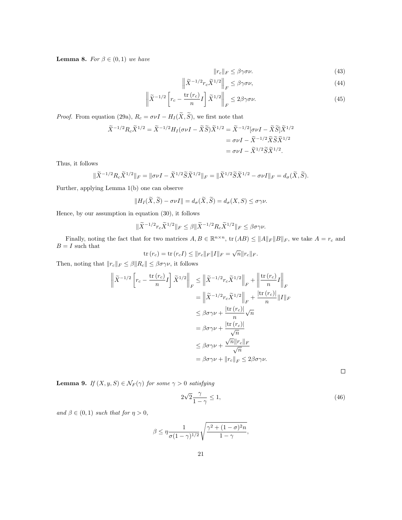**Lemma 8.** For  $\beta \in (0,1)$  we have

$$
||r_c||_F \le \beta \gamma \sigma \nu. \tag{43}
$$

$$
\left\| \widetilde{X}^{-1/2} r_c \widetilde{X}^{1/2} \right\|_F \le \beta \gamma \sigma \nu,
$$
\n(44)

$$
\left\| \tilde{X}^{-1/2} \left[ r_c - \frac{\text{tr}(r_c)}{n} I \right] \tilde{X}^{1/2} \right\|_F \le 2\beta \gamma \sigma \nu. \tag{45}
$$

*Proof.* From equation (29a),  $R_c = \sigma \nu I - H_I(\tilde{X}, \tilde{S})$ , we first note that

$$
\widetilde{X}^{-1/2} R_c \widetilde{X}^{1/2} = \widetilde{X}^{-1/2} H_I (\sigma \nu I - \widetilde{X} \widetilde{S}) \widetilde{X}^{1/2} = \widetilde{X}^{-1/2} [\sigma \nu I - \widetilde{X} \widetilde{S}] \widetilde{X}^{1/2}
$$
  
=  $\sigma \nu I - \widetilde{X}^{-1/2} \widetilde{X} \widetilde{S} \widetilde{X}^{1/2}$   
=  $\sigma \nu I - \widetilde{X}^{1/2} \widetilde{S} \widetilde{X}^{1/2}.$ 

Thus, it follows

$$
\|\widetilde{X}^{-1/2}R_c\widetilde{X}^{1/2}\|_F = \|\sigma\nu I - \widetilde{X}^{1/2}\widetilde{S}\widetilde{X}^{1/2}\|_F = \|\widetilde{X}^{1/2}\widetilde{S}\widetilde{X}^{1/2} - \sigma\nu I\|_F = d_\sigma(\widetilde{X}, \widetilde{S}).
$$

Further, applying Lemma 1(b) one can observe

$$
||H_I(\widetilde{X}, \widetilde{S}) - \sigma \nu I|| = d_{\sigma}(\widetilde{X}, \widetilde{S}) = d_{\sigma}(X, S) \leq \sigma \gamma \nu.
$$

Hence, by our assumption in equation (30), it follows

$$
\|\widetilde{X}^{-1/2}r_c\widetilde{X}^{1/2}\|_F \leq \beta\|\widetilde{X}^{-1/2}R_c\widetilde{X}^{1/2}\|_F \leq \beta\sigma\gamma\nu.
$$

Finally, noting the fact that for two matrices  $A, B \in \mathbb{R}^{n \times n}$ ,  $\text{tr}(AB) \le ||A||_F ||B||_F$ , we take  $A = r_c$  and  ${\cal B}={\cal I}$  such that  $\sqrt{$ ⊪

$$
\text{tr}(r_c) = \text{tr}(r_c I) \le ||r_c||_F ||I||_F = \sqrt{n} ||r_c||_F.
$$

Then, noting that  $||r_c||_F \leq \beta ||R_c|| \leq \beta \sigma \gamma \nu$ , it follows

$$
\left\| \tilde{X}^{-1/2} \left[ r_c - \frac{\text{tr} \left( r_c \right)}{n} I \right] \tilde{X}^{1/2} \right\|_F \leq \left\| \tilde{X}^{-1/2} r_c \tilde{X}^{1/2} \right\|_F + \left\| \frac{\text{tr} \left( r_c \right)}{n} I \right\|_F
$$

$$
= \left\| \tilde{X}^{-1/2} r_c \tilde{X}^{1/2} \right\|_F + \frac{|\text{tr} \left( r_c \right)|}{n} \| I \|_F
$$

$$
\leq \beta \sigma \gamma \nu + \frac{|\text{tr} \left( r_c \right)|}{n} \sqrt{n}
$$

$$
= \beta \sigma \gamma \nu + \frac{|\text{tr} \left( r_c \right)|}{\sqrt{n}}
$$

$$
\leq \beta \sigma \gamma \nu + \frac{\sqrt{n} \| r_c \|_F}{\sqrt{n}}
$$

$$
= \beta \sigma \gamma \nu + \| r_c \|_F \leq 2\beta \sigma \gamma \nu.
$$

 $\Box$ 

**Lemma 9.** If  $(X, y, S) \in \mathcal{N}_F(\gamma)$  for some  $\gamma > 0$  satisfying

$$
2\sqrt{2}\frac{\gamma}{1-\gamma} \le 1,\tag{46}
$$

and  $\beta \in (0,1)$  such that for  $\eta > 0$ ,

$$
\beta \le \eta \frac{1}{\sigma(1-\gamma)^{1/2}} \sqrt{\frac{\gamma^2 + (1-\sigma)^2 n}{1-\gamma}},
$$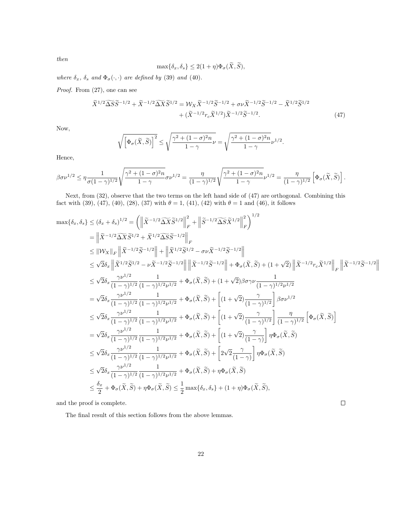then

$$
\max\{\delta_x,\delta_s\} \le 2(1+\eta)\Phi_\sigma(\tilde{X},\tilde{S}),
$$

where  $\delta_x$ ,  $\delta_s$  and  $\Phi_{\sigma}(\cdot,\cdot)$  are defined by (39) and (40).

Proof. From (27), one can see

$$
\widetilde{X}^{1/2}\widetilde{\Delta S}\widetilde{S}^{-1/2} + \widetilde{X}^{-1/2}\widetilde{\Delta X}\widetilde{S}^{1/2} = \mathcal{W}_X\widetilde{X}^{-1/2}\widetilde{S}^{-1/2} + \sigma\nu\widetilde{X}^{-1/2}\widetilde{S}^{-1/2} - \widetilde{X}^{1/2}\widetilde{S}^{1/2} + (\widetilde{X}^{-1/2}r_c\widetilde{X}^{1/2})\widetilde{X}^{-1/2}\widetilde{S}^{-1/2}.
$$
\n(47)

Now,

$$
\sqrt{\left[\Phi_{\sigma}(\widetilde{X},\widetilde{S})\right]^2} \leq \sqrt{\frac{\gamma^2+(1-\sigma)^2n}{1-\gamma}}\nu = \sqrt{\frac{\gamma^2+(1-\sigma)^2n}{1-\gamma}}\nu^{1/2}.
$$

Hence,

$$
\beta \sigma \nu^{1/2} \leq \eta \frac{1}{\sigma (1 - \gamma)^{1/2}} \sqrt{\frac{\gamma^2 + (1 - \sigma)^2 n}{1 - \gamma}} \sigma \nu^{1/2} = \frac{\eta}{(1 - \gamma)^{1/2}} \sqrt{\frac{\gamma^2 + (1 - \sigma)^2 n}{1 - \gamma}} \nu^{1/2} = \frac{\eta}{(1 - \gamma)^{1/2}} \left[ \Phi_{\sigma}(\tilde{X}, \tilde{S}) \right].
$$

Next, from (32), observe that the two terms on the left hand side of (47) are orthogonal. Combining this fact with (39), (47), (40), (28), (37) with  $\theta = 1$ , (41), (42) with  $\theta = 1$  and (46), it follows

$$
\begin{split} \max\{\delta_{x},\delta_{s}\}\leq(\delta_{x}+\delta_{s})^{1/2}&=\left(\left\|\tilde{X}^{-1/2}\widetilde{\Delta X}\tilde{S}^{1/2}\right\|_{F}^{2}+\left\|\tilde{S}^{-1/2}\widetilde{\Delta S}\tilde{X}^{1/2}\right\|_{F}^{2}\right)^{1/2}\\ &=\left\|\tilde{X}^{-1/2}\widetilde{\Delta X}\tilde{S}^{1/2}+\tilde{X}^{1/2}\widetilde{\Delta S}\tilde{S}^{-1/2}\right\|_{F}\\ &\leq\left\|Wx\right\|_{F}\left\|\tilde{X}^{-1/2}\tilde{S}^{-1/2}\right\|+\left\|\tilde{X}^{1/2}\tilde{S}^{1/2}-\sigma\nu\tilde{X}^{-1/2}\tilde{S}^{-1/2}\right\|\\ &\leq\sqrt{2}\delta_{x}\left\|\tilde{X}^{1/2}\tilde{S}^{1/2}-\nu\tilde{X}^{-1/2}\tilde{S}^{-1/2}\right\|\left\|\tilde{X}^{-1/2}\tilde{S}^{-1/2}\right\|+\Phi_{\sigma}(\tilde{X},\tilde{S})+(1+\sqrt{2})\left\|\tilde{X}^{-1/2}r_{c}\tilde{X}^{1/2}\right\|_{F}\left\|\tilde{X}^{-1/2}\tilde{S}^{-1/2}\right\|\\ &\leq\sqrt{2}\delta_{x}\frac{\gamma\nu^{1/2}}{(1-\gamma)^{1/2}}\frac{1}{(1-\gamma)^{1/2}\nu^{1/2}}+\Phi_{\sigma}(\tilde{X},\tilde{S})+(1+\sqrt{2})\beta\sigma\gamma\nu\frac{1}{(1-\gamma)^{1/2}\nu^{1/2}}\\ &=\sqrt{2}\delta_{x}\frac{\gamma\nu^{1/2}}{(1-\gamma)^{1/2}}\frac{1}{(1-\gamma)^{1/2}\nu^{1/2}}+\Phi_{\sigma}(\tilde{X},\tilde{S})+\left[(1+\sqrt{2})\frac{\gamma}{(1-\gamma)^{1/2}}\right]\beta\sigma\nu^{1/2}\\ &\leq\sqrt{2}\delta_{x}\frac{\gamma\nu^{1/2}}{(1-\gamma)^{1/2}}\frac{1}{(1-\gamma)^{1/2}\nu^{1/2}}+\Phi_{\sigma}(\tilde{X},\tilde{S})+\left[(1+\sqrt{2})\frac{\
$$

 $\Box$ 

and the proof is complete.

The final result of this section follows from the above lemmas.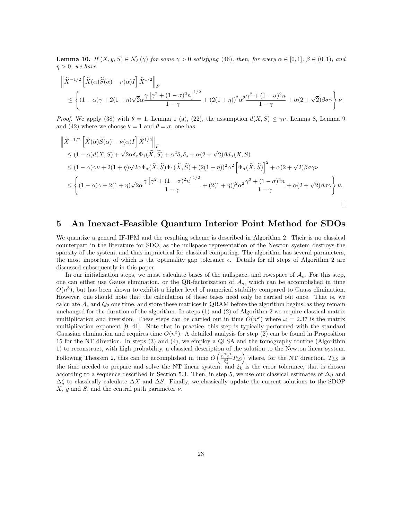**Lemma 10.** If  $(X, y, S) \in \mathcal{N}_F(\gamma)$  for some  $\gamma > 0$  satisfying (46), then, for every  $\alpha \in [0, 1]$ ,  $\beta \in (0, 1)$ , and  $\eta > 0$ , we have

$$
\begin{aligned} & \left\| \widetilde{X}^{-1/2} \left[ \widetilde{X}(\alpha) \widetilde{S}(\alpha) - \nu(\alpha) I \right] \widetilde{X}^{1/2} \right\|_F \\ & \quad \leq \left\{ (1-\alpha)\gamma + 2(1+\eta) \sqrt{2} \alpha \frac{\gamma \left[ \gamma^2 + (1-\sigma)^2 n \right]^{1/2}}{1-\gamma} + (2(1+\eta))^2 \alpha^2 \frac{\gamma^2 + (1-\sigma)^2 n}{1-\gamma} + \alpha (2+\sqrt{2}) \beta \sigma \gamma \right\} \nu \end{aligned}
$$

*Proof.* We apply (38) with  $\theta = 1$ , Lemma 1 (a), (22), the assumption  $d(X, S) \leq \gamma \nu$ , Lemma 8, Lemma 9 and (42) where we choose  $\theta = 1$  and  $\theta = \sigma$ , one has

$$
\begin{split} &\left\|\tilde{X}^{-1/2}\left[\tilde{X}(\alpha)\tilde{S}(\alpha)-\nu(\alpha)I\right]\tilde{X}^{1/2}\right\|_{F} \\ &\leq (1-\alpha)d(X,S)+\sqrt{2}\alpha\delta_{x}\Phi_{1}(\tilde{X},\tilde{S})+\alpha^{2}\delta_{x}\delta_{s}+\alpha(2+\sqrt{2})\beta d_{\sigma}(X,S) \\ &\leq (1-\alpha)\gamma\nu+2(1+\eta)\sqrt{2}\alpha\Phi_{\sigma}(\tilde{X},\tilde{S})\Phi_{1}(\tilde{X},\tilde{S})+(2(1+\eta))^{2}\alpha^{2}\left[\Phi_{\sigma}(\tilde{X},\tilde{S})\right]^{2}+\alpha(2+\sqrt{2})\beta\sigma\gamma\nu \\ &\leq \left\{(1-\alpha)\gamma+2(1+\eta)\sqrt{2}\alpha\frac{\gamma\left[\gamma^{2}+(1-\sigma)^{2}n\right]^{1/2}}{1-\gamma}+(2(1+\eta))^{2}\alpha^{2}\frac{\gamma^{2}+(1-\sigma)^{2}n}{1-\gamma}+\alpha(2+\sqrt{2})\beta\sigma\gamma\right\}\nu. \end{split}
$$

# 5 An Inexact-Feasible Quantum Interior Point Method for SDOs

We quantize a general IF-IPM and the resulting scheme is described in Algorithm 2. Their is no classical counterpart in the literature for SDO, as the nullspace representation of the Newton system destroys the sparsity of the system, and thus impractical for classical computing. The algorithm has several parameters, the most important of which is the optimality gap tolerance  $\epsilon$ . Details for all steps of Algorithm 2 are discussed subsequently in this paper.

In our initialization steps, we must calculate bases of the nullspace, and rowspace of  $A_s$ . For this step, one can either use Gauss elimination, or the QR-factorization of  $\mathcal{A}_s$ , which can be accomplished in time  $O(n^3)$ , but has been shown to exhibit a higher level of numerical stability compared to Gauss elimination. However, one should note that the calculation of these bases need only be carried out once. That is, we calculate  $A_s$  and  $Q_2$  one time, and store these matrices in QRAM before the algorithm begins, as they remain unchanged for the duration of the algorithm. In steps (1) and (2) of Algorithm 2 we require classical matrix multiplication and inversion. These steps can be carried out in time  $O(n^{\omega})$  where  $\omega = 2.37$  is the matrix multiplication exponent [9, 41]. Note that in practice, this step is typically performed with the standard Gaussian elimination and requires time  $O(n^3)$ . A detailed analysis for step (2) can be found in Proposition 15 for the NT direction. In steps (3) and (4), we employ a QLSA and the tomography routine (Algorithm 1) to reconstruct, with high probability, a classical description of the solution to the Newton linear system. Following Theorem 2, this can be accomplished in time  $O\left(\frac{n^2\kappa^2}{\epsilon^2}\right)$  $\frac{f_{\kappa}^2}{\xi_k^2}$ T<sub>LS</sub>) where, for the NT direction,  $T_{LS}$  is the time needed to prepare and solve the NT linear system, and  $\xi_k$  is the error tolerance, that is chosen according to a sequence described in Section 5.3. Then, in step 5, we use our classical estimates of  $\Delta y$  and  $\Delta\zeta$  to classically calculate  $\Delta X$  and  $\Delta S$ . Finally, we classically update the current solutions to the SDOP  $X, y$  and  $S$ , and the central path parameter  $\nu$ .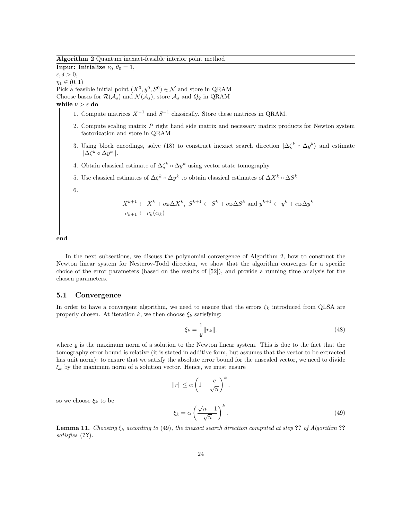Algorithm 2 Quantum inexact-feasible interior point method

**Input: Initialize**  $\nu_0, \theta_0 = 1$ ,  $\epsilon, \delta > 0,$  $\eta_1 \in (0,1)$ Pick a feasible initial point  $(X^0, y^0, S^0) \in \mathcal{N}$  and store in QRAM Choose bases for  $\mathcal{R}(\mathcal{A}_s)$  and  $\mathcal{N}(\mathcal{A}_s)$ , store  $\mathcal{A}_s$  and  $Q_2$  in QRAM while  $\nu > \epsilon$  do 1. Compute matrices  $X^{-1}$  and  $S^{-1}$  classically. Store these matrices in QRAM. 2. Compute scaling matrix P right hand side matrix and necessary matrix products for Newton system factorization and store in QRAM 3. Using block encodings, solve (18) to construct inexact search direction  $|\Delta\zeta^k \circ \Delta y^k\rangle$  and estimate  $||\Delta\zeta^k \circ \Delta y^k||.$ 4. Obtain classical estimate of  $\Delta \zeta^k \circ \Delta y^k$  using vector state tomography. 5. Use classical estimates of  $\Delta \zeta^k \circ \Delta y^k$  to obtain classical estimates of  $\Delta X^k \circ \Delta S^k$ 6.  $X^{k+1} \leftarrow X^k + \alpha_k \Delta X^k$ ,  $S^{k+1} \leftarrow S^k + \alpha_k \Delta S^k$  and  $y^{k+1} \leftarrow y^k + \alpha_k \Delta y^k$  $\nu_{k+1} \leftarrow \nu_k(\alpha_k)$ end

In the next subsections, we discuss the polynomial convergence of Algorithm 2, how to construct the Newton linear system for Nesterov-Todd direction, we show that the algorithm converges for a specific choice of the error parameters (based on the results of [52]), and provide a running time analysis for the chosen parameters.

#### 5.1 Convergence

In order to have a convergent algorithm, we need to ensure that the errors  $\xi_k$  introduced from QLSA are properly chosen. At iteration k, we then choose  $\xi_k$  satisfying:

$$
\xi_k = \frac{1}{\varrho} \|r_k\|.\tag{48}
$$

where  $\rho$  is the maximum norm of a solution to the Newton linear system. This is due to the fact that the tomography error bound is relative (it is stated in additive form, but assumes that the vector to be extracted has unit norm): to ensure that we satisfy the absolute error bound for the unscaled vector, we need to divide  $\xi_k$  by the maximum norm of a solution vector. Hence, we must ensure

$$
||r|| \leq \alpha \left(1 - \frac{c}{\sqrt{n}}\right)^k,
$$
  

$$
\xi_k = \alpha \left(\frac{\sqrt{n} - 1}{\sqrt{n}}\right)^k.
$$
 (49)

so we choose  $\xi_k$  to be

**Lemma 11.** Choosing  $\xi_k$  according to (49), the inexact search direction computed at step ?? of Algorithm ?? satisfies  $(??)$ .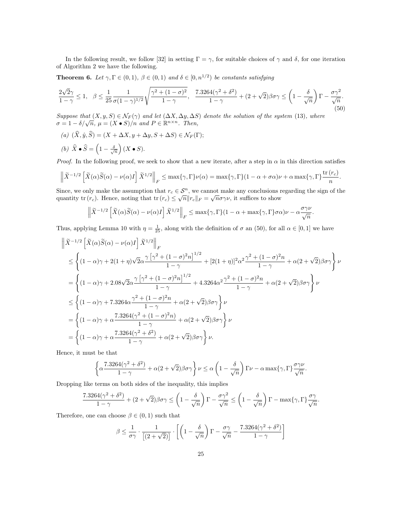In the following result, we follow [32] in setting  $\Gamma = \gamma$ , for suitable choices of  $\gamma$  and  $\delta$ , for one iteration of Algorithm 2 we have the following.

**Theorem 6.** Let  $\gamma, \Gamma \in (0,1)$ ,  $\beta \in (0,1)$  and  $\delta \in [0,n^{1/2})$  be constants satisfying

$$
\frac{2\sqrt{2}\gamma}{1-\gamma} \le 1, \quad \beta \le \frac{1}{25} \frac{1}{\sigma(1-\gamma)^{1/2}} \sqrt{\frac{\gamma^2 + (1-\sigma)^2}{1-\gamma}}, \quad \frac{7.3264(\gamma^2 + \delta^2)}{1-\gamma} + (2+\sqrt{2})\beta\sigma\gamma \le \left(1 - \frac{\delta}{\sqrt{n}}\right)\Gamma - \frac{\sigma\gamma^2}{\sqrt{n}}.\tag{50}
$$

Suppose that  $(X, y, S) \in \mathcal{N}_F(\gamma)$  and let  $(\Delta X, \Delta y, \Delta S)$  denote the solution of the system (13), where  $\sigma = 1 - \delta/\sqrt{n}$ ,  $\mu = (X \bullet S)/n$  and  $P \in \mathbb{R}^{n \times n}$ . Then,

(a)  $(\widehat{X}, \widehat{y}, \widehat{S}) = (X + \Delta X, y + \Delta y, S + \Delta S) \in \mathcal{N}_F(\Gamma);$ 

(b) 
$$
\widehat{X} \bullet \widehat{S} = \left(1 - \frac{\delta}{\sqrt{n}}\right)(X \bullet S).
$$

*Proof.* In the following proof, we seek to show that a new iterate, after a step in  $\alpha$  in this direction satisfies

$$
\left\|\widetilde{X}^{-1/2}\left[\widetilde{X}(\alpha)\widetilde{S}(\alpha)-\nu(\alpha)I\right]\widetilde{X}^{1/2}\right\|_{F}\leq\max\{\gamma,\Gamma\}\nu(\alpha)=\max\{\gamma,\Gamma\}(1-\alpha+\sigma\alpha)\nu+\alpha\max\{\gamma,\Gamma\}\frac{\mathrm{tr}\,(r_{c})}{n}.
$$

Since, we only make the assumption that  $r_c \in \mathcal{S}^n$ , we cannot make any conclusions regarding the sign of the quantity tr  $(r_c)$ . Hence, noting that tr  $(r_c) \leq \sqrt{n} ||r_c||_F = \sqrt{n} \sigma \gamma \nu$ , it suffices to show

$$
\left\|\tilde{X}^{-1/2}\left[\tilde{X}(\alpha)\tilde{S}(\alpha)-\nu(\alpha)I\right]\tilde{X}^{1/2}\right\|_{F}\leq \max\{\gamma,\Gamma\}(1-\alpha+\max\{\gamma,\Gamma\}\sigma\alpha)\nu-\alpha\frac{\sigma\gamma\nu}{\sqrt{n}}.
$$

Thus, applying Lemma 10 with  $\eta = \frac{1}{25}$ , along with the definition of  $\sigma$  an (50), for all  $\alpha \in [0, 1]$  we have

$$
\begin{split} &\left\|\tilde{X}^{-1/2}\left[\tilde{X}(\alpha)\tilde{S}(\alpha)-\nu(\alpha)I\right]\tilde{X}^{1/2}\right\|_{F}\\ &\leq \left\{(1-\alpha)\gamma+2(1+\eta)\sqrt{2}\alpha\frac{\gamma\left[\gamma^2+(1-\sigma)^2n\right]^{1/2}}{1-\gamma}+[2(1+\eta)]^2\alpha^2\frac{\gamma^2+(1-\sigma)^2n}{1-\gamma}+\alpha(2+\sqrt{2})\beta\sigma\gamma\right\}\nu\\ &=\left\{(1-\alpha)\gamma+2.08\sqrt{2}\alpha\frac{\gamma\left[\gamma^2+(1-\sigma)^2n\right]^{1/2}}{1-\gamma}+4.3264\alpha^2\frac{\gamma^2+(1-\sigma)^2n}{1-\gamma}+\alpha(2+\sqrt{2})\beta\sigma\gamma\right\}\nu\\ &\leq \left\{(1-\alpha)\gamma+7.3264\alpha\frac{\gamma^2+(1-\sigma)^2n}{1-\gamma}+\alpha(2+\sqrt{2})\beta\sigma\gamma\right\}\nu\\ &=\left\{(1-\alpha)\gamma+\alpha\frac{7.3264(\gamma^2+(1-\sigma)^2n)}{1-\gamma}+\alpha(2+\sqrt{2})\beta\sigma\gamma\right\}\nu\\ &=\left\{(1-\alpha)\gamma+\alpha\frac{7.3264(\gamma^2+\delta^2)}{1-\gamma}+\alpha(2+\sqrt{2})\beta\sigma\gamma\right\}\nu. \end{split}
$$

Hence, it must be that

$$
\left\{\alpha\frac{7.3264(\gamma^2+\delta^2)}{1-\gamma}+\alpha(2+\sqrt{2})\beta\sigma\gamma\right\}\nu\leq\alpha\left(1-\frac{\delta}{\sqrt{n}}\right)\Gamma\nu-\alpha\max\{\gamma,\Gamma\}\frac{\sigma\gamma\nu}{\sqrt{n}}.
$$

Dropping like terms on both sides of the inequality, this implies

$$
\frac{7.3264(\gamma^2 + \delta^2)}{1 - \gamma} + (2 + \sqrt{2})\beta\sigma\gamma \le \left(1 - \frac{\delta}{\sqrt{n}}\right)\Gamma - \frac{\sigma\gamma^2}{\sqrt{n}} \le \left(1 - \frac{\delta}{\sqrt{n}}\right)\Gamma - \max\{\gamma, \Gamma\}\frac{\sigma\gamma}{\sqrt{n}}.
$$

Therefore, one can choose  $\beta \in (0,1)$  such that

$$
\beta \le \frac{1}{\sigma \gamma} \cdot \frac{1}{\left[ (2+\sqrt{2}) \right]} \cdot \left[ \left( 1 - \frac{\delta}{\sqrt{n}} \right) \Gamma - \frac{\sigma \gamma}{\sqrt{n}} - \frac{7.3264(\gamma^2 + \delta^2)}{1-\gamma} \right]
$$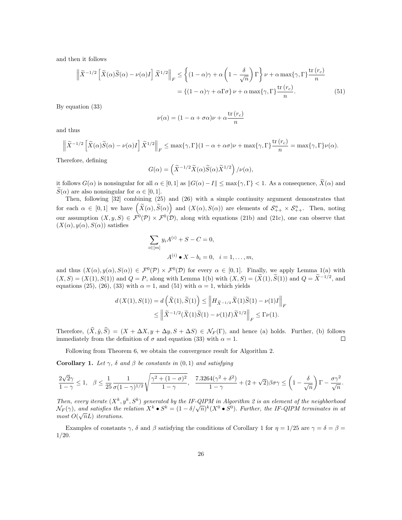and then it follows

$$
\left\| \widetilde{X}^{-1/2} \left[ \widetilde{X}(\alpha) \widetilde{S}(\alpha) - \nu(\alpha) I \right] \widetilde{X}^{1/2} \right\|_F \le \left\{ (1 - \alpha)\gamma + \alpha \left( 1 - \frac{\delta}{\sqrt{n}} \right) \Gamma \right\} \nu + \alpha \max\{\gamma, \Gamma\} \frac{\text{tr}(r_c)}{n}
$$

$$
= \left\{ (1 - \alpha)\gamma + \alpha \Gamma \sigma \right\} \nu + \alpha \max\{\gamma, \Gamma\} \frac{\text{tr}(r_c)}{n} \tag{51}
$$

By equation (33)

$$
\nu(\alpha) = (1 - \alpha + \sigma \alpha)\nu + \alpha \frac{\text{tr}(r_c)}{n}
$$

and thus

$$
\left\|\tilde{X}^{-1/2}\left[\tilde{X}(\alpha)\tilde{S}(\alpha)-\nu(\alpha)I\right]\tilde{X}^{1/2}\right\|_{F}\leq \max\{\gamma,\Gamma\}(1-\alpha+\alpha\sigma)\nu+\max\{\gamma,\Gamma\}\frac{\mathrm{tr}\,(r_{c})}{n}=\max\{\gamma,\Gamma\}\nu(\alpha).
$$

Therefore, defining

$$
G(\alpha) = \left(\widetilde{X}^{-1/2}\widetilde{X}(\alpha)\widetilde{S}(\alpha)\widetilde{X}^{1/2}\right)/\nu(\alpha),
$$

it follows  $G(\alpha)$  is nonsingular for all  $\alpha \in [0,1]$  as  $||G(\alpha) - I|| \leq \max\{\gamma, \Gamma\} < 1$ . As a consequence,  $\widetilde{X}(\alpha)$  and  $\widetilde{S}(\alpha)$  are also nonsingular for  $\alpha \in [0,1]$ .

Then, following [32] combining (25) and (26) with a simple continuity argument demonstrates that for each  $\alpha \in [0,1]$  we have  $(\widetilde{X}(\alpha), \widetilde{S}(\alpha))$  and  $(X(\alpha), S(\alpha))$  are elements of  $\mathcal{S}_{++}^n \times \mathcal{S}_{++}^n$ . Then, noting our assumption  $(X, y, S) \in \mathcal{F}^0(\mathcal{P}) \times \mathcal{F}^0(\mathcal{D})$ , along with equations (21b) and (21c), one can observe that  $(X(\alpha), y(\alpha), S(\alpha))$  satisfies

$$
\sum_{i \in [m]} y_i A^{(i)} + S - C = 0,
$$
  

$$
A^{(i)} \bullet X - b_i = 0, \quad i = 1, ..., m,
$$

and thus  $(X(\alpha), y(\alpha), S(\alpha)) \in \mathcal{F}^0(\mathcal{P}) \times \mathcal{F}^0(\mathcal{D})$  for every  $\alpha \in [0,1]$ . Finally, we apply Lemma 1(a) with  $(X, S) = (X(1), S(1))$  and  $Q = P$ , along with Lemma 1(b) with  $(X, S) = (\tilde{X}(1), \tilde{S}(1))$  and  $Q = \tilde{X}^{-1/2}$ , and equations (25), (26), (33) with  $\alpha = 1$ , and (51) with  $\alpha = 1$ , which yields

$$
\begin{split} d\left(X(1),S(1)\right) &= d\left(\widetilde{X}(1),\widetilde{S}(1)\right) \leq \left\|H_{\widetilde{X}^{-1/2}}\widetilde{X}(1)\widetilde{S}(1)-\nu(1)I\right\|_{F} \\ &\leq \left\|\widetilde{X}^{-1/2}(\widetilde{X}(1)\widetilde{S}(1)-\nu(1)I)\widetilde{X}^{1/2}\right\|_{F} \leq \Gamma\nu(1). \end{split}
$$

Therefore,  $(\hat{X}, \hat{y}, \hat{S}) = (X + \Delta X, y + \Delta y, S + \Delta S) \in \mathcal{N}_F(\Gamma)$ , and hence (a) holds. Further, (b) follows immediately from the definition of  $\sigma$  and equation (33) with  $\alpha = 1$ . immediately from the definition of  $\sigma$  and equation (33) with  $\alpha = 1$ .

Following from Theorem 6, we obtain the convergence result for Algorithm 2.

Corollary 1. Let  $\gamma$ ,  $\delta$  and  $\beta$  be constants in (0, 1) and satisfying

$$
\frac{2\sqrt{2}\gamma}{1-\gamma}\leq 1,\quad \beta\leq \frac{1}{25}\frac{1}{\sigma(1-\gamma)^{1/2}}\sqrt{\frac{\gamma^2+(1-\sigma)^2}{1-\gamma}},\quad \frac{7.3264(\gamma^2+\delta^2)}{1-\gamma}+(2+\sqrt{2})\beta\sigma\gamma\leq \left(1-\frac{\delta}{\sqrt{n}}\right)\Gamma-\frac{\sigma\gamma^2}{\sqrt{n}}.
$$

Then, every iterate  $(X^k, y^k, S^k)$  generated by the IF-QIPM in Algorithm 2 is an element of the neighborhood  $\mathcal{N}_F(\gamma)$ , and satisfies the relation  $X^k \bullet S^k = (1 - \delta/\sqrt{n})^k (X^0 \bullet S^0)$ . Further, the IF-QIPM terminates in at  $\lim_{M \to \infty} O(\sqrt{n}L)$  iterations.

Examples of constants  $\gamma$ ,  $\delta$  and  $\beta$  satisfying the conditions of Corollary 1 for  $\eta = 1/25$  are  $\gamma = \delta = \beta =$ 1/20.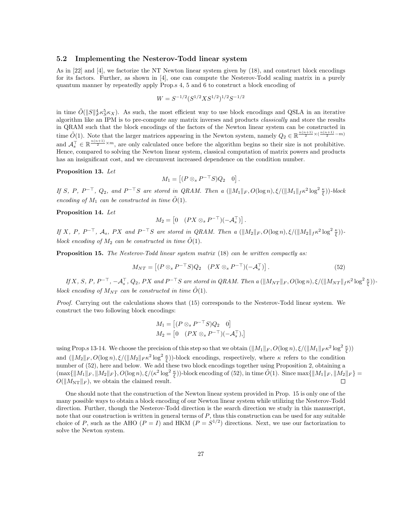#### 5.2 Implementing the Nesterov-Todd linear system

As in [22] and [4], we factorize the NT Newton linear system given by (18), and construct block encodings for its factors. Further, as shown in [4], one can compute the Nesterov-Todd scaling matrix in a purely quantum manner by repeatedly apply Prop.s 4, 5 and 6 to construct a block encoding of

$$
W = S^{-1/2} (S^{1/2} X S^{1/2})^{1/2} S^{-1/2}
$$

in time  $\tilde{O}(\|S\|_F^4 \kappa_S^5 \kappa_X)$ . As such, the most efficient way to use block encodings and QSLA in an iterative algorithm like an IPM is to pre-compute any matrix inverses and products classically and store the results in QRAM such that the block encodings of the factors of the Newton linear system can be constructed in time  $\tilde{O}(1)$ . Note that the larger matrices appearing in the Newton system, namely  $Q_2 \in \mathbb{R}^{\frac{n(n+1)}{2} \times (\frac{n(n+1)}{2} - m)}$ and  $\mathcal{A}_{s}^{\top} \in \mathbb{R}^{\frac{n(n+1)}{2} \times m}$ , are only calculated once before the algorithm begins so their size is not prohibitive. Hence, compared to solving the Newton linear system, classical computation of matrix powers and products has an insignificant cost, and we circumvent increased dependence on the condition number.

#### Proposition 13. Let

$$
M_1 = \begin{bmatrix} (P \otimes_s P^{-\top} S) Q_2 & 0 \end{bmatrix}.
$$

If S, P,  $P^{-\top}$ ,  $Q_2$ , and  $P^{-\top}S$  are stored in QRAM. Then a  $(\|M_1\|_F, O(\log n), \xi/(\|M_1\|_f \kappa^2 \log^2 \frac{\kappa}{\xi}))$ -block encoding of  $M_1$  can be constructed in time  $\tilde{O}(1)$ .

#### Proposition 14. Let

$$
M_2 = \begin{bmatrix} 0 & (PX \otimes_s P^{-\top})(-\mathcal{A}_s^{\top}) \end{bmatrix}
$$

If X, P,  $P^{-\top}$ ,  $\mathcal{A}_s$ , PX and  $P^{-\top}S$  are stored in QRAM. Then a  $(\|M_2\|_F, O(\log n), \xi/(\|M_2\|_F \kappa^2 \log^2 \frac{\kappa}{\xi}))$ block encoding of  $M_2$  can be constructed in time  $\tilde{O}(1)$ .

**Proposition 15.** The Nesterov-Todd linear system matrix (18) can be written compactly as:

$$
M_{NT} = \left[ (P \otimes_s P^{-\top} S) Q_2 \quad (PX \otimes_s P^{-\top}) (-\mathcal{A}_s^{\top}) \right]. \tag{52}
$$

.

If X, S, P,  $P^{-\top}$ ,  $-\mathcal{A}_s^{\top}$ ,  $Q_2$ , PX and  $P^{-\top}S$  are stored in QRAM. Then a  $(\|M_{NT}\|_F, O(\log n), \xi/(\|M_{NT}\|_f \kappa^2 \log^2 \frac{\kappa}{\xi}))$ block encoding of  $M_{NT}$  can be constructed in time  $\tilde{O}(1)$ .

Proof. Carrying out the calculations shows that (15) corresponds to the Nesterov-Todd linear system. We construct the two following block encodings:

$$
M_1 = \begin{bmatrix} (P \otimes_s P^{-\top} S) Q_2 & 0 \end{bmatrix}
$$
  

$$
M_2 = \begin{bmatrix} 0 & (PX \otimes_s P^{-\top})(-\mathcal{A}_s^{\top}), \end{bmatrix}
$$

using Prop.s 13-14. We choose the precision of this step so that we obtain  $(\|M_1\|_F, O(\log n), \xi/(\|M_1\|_F \kappa^2 \log^2 \frac{\kappa}{\xi}))$ and  $(\|M_2\|_F, O(\log n), \xi/(\|M_2\|_F \kappa^2 \log^2 \frac{\kappa}{\xi}))$ -block encodings, respectively, where  $\kappa$  refers to the condition number of (52), here and below. We add these two block encodings together using Proposition 2, obtaining a  $(\max\{\|M_1\|_F, \|M_2\|_F\}, O(\log n), \xi/(\kappa^2 \log^2 \frac{\kappa}{\xi}))$ -block encoding of (52), in time  $\tilde{O}(1)$ . Since  $\max\{\|M_1\|_F, \|M_2\|_F\} =$  $O(||M_{\rm NT}||_F)$ , we obtain the claimed result.

One should note that the construction of the Newton linear system provided in Prop. 15 is only one of the many possible ways to obtain a block encoding of our Newton linear system while utilizing the Nesterov-Todd direction. Further, though the Nesterov-Todd direction is the search direction we study in this manuscript, note that our construction is written in general terms of  $P$ , thus this construction can be used for any suitable choice of P, such as the AHO ( $P = I$ ) and HKM ( $P = S^{1/2}$ ) directions. Next, we use our factorization to solve the Newton system.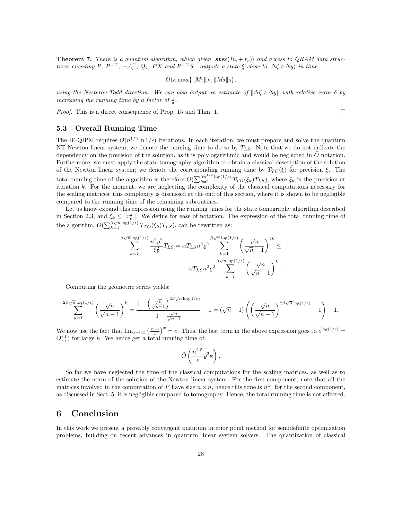**Theorem 7.** There is a quantum algorithm, which given  $|{\bf spec}(R_c + r_c)\rangle$  and access to QRAM data structures encoding  $P, P^{-\perp}, -A_s^+, Q_2, PX$  and  $P^{-\perp}S$  , outputs a state  $\xi$ -close to  $|\Delta\zeta \circ \Delta y\rangle$  in time

$$
\tilde{O}(\kappa \max{\{\Vert M_1 \Vert_F, \Vert M_2 \Vert_2\}},\
$$

using the Nesterov-Todd direction. We can also output an estimate of  $\|\Delta\zeta \circ \Delta y\|$  with relative error  $\delta$  by increasing the running time by a factor of  $\frac{1}{\delta}$ .

Proof. This is a direct consequence of Prop. 15 and Thm. 1.

#### 5.3 Overall Running Time

The IF-QIPM requires  $O(n^{1/2} \ln 1/\epsilon)$  iterations. In each iteration, we must prepare and solve the quantum NT Newton linear system; we denote the running time to do so by  $T_{LS}$ . Note that we do not indicate the dependency on the precision of the solution, as it is polylogarithmic and would be neglected in  $\tilde{O}$  notation. Furthermore, we must apply the state tomography algorithm to obtain a classical description of the solution of the Newton linear system; we denote the corresponding running time by  $T_{TO}(\xi)$  for precision  $\xi$ . The total running time of the algorithm is therefore  $O(\sum_{k=1}^{\beta n^{1/2} \log(1/\epsilon)} T_{TO}(\xi_k) T_{LS})$ , where  $\xi_k$  is the precision at iteration k. For the moment, we are neglecting the complexity of the classical computations necessary for the scaling matrices; this complexity is discussed at the end of this section, where it is shown to be negligible compared to the running time of the remaining subroutines.

Let us know expand this expression using the running times for the state tomography algorithm described in Section 2.3, and  $\xi_k \leq ||r_c^k||$ . We define for ease of notation. The expression of the total running time of the algorithm,  $O(\sum_{k=1}^{\beta\sqrt{n}\log(1/\epsilon)}T_{TO}(\xi_k)T_{LS})$ , can be rewritten as:

$$
\sum_{k=1}^{\beta\sqrt{n}\log(1/\epsilon)} \frac{n^2 \varrho^2}{\xi_k^2} T_{LS} = \alpha T_{LS} n^2 \varrho^2 \sum_{k=1}^{\beta\sqrt{n}\log(1/\epsilon)} \left(\frac{\sqrt{n}}{\sqrt{n}-1}\right)^{2k} \le \alpha T_{LS} n^2 \varrho^2 \sum_{k=1}^{\beta\sqrt{n}\log(1/\epsilon)} \left(\frac{\sqrt{n}}{\sqrt{n}-1}\right)^k.
$$

Computing the geometric series yields:

$$
\sum_{k=1}^{2\beta\sqrt{n}\log(1/\epsilon)}\left(\frac{\sqrt{n}}{\sqrt{n}-1}\right)^k=\frac{1-\left(\frac{\sqrt{n}}{\sqrt{n}-1}\right)^{2\beta\sqrt{n}\log(1/\epsilon)}}{1-\frac{\sqrt{n}}{\sqrt{n}-1}}-1=(\sqrt{n}-1)\left(\left(\frac{\sqrt{n}}{\sqrt{n}-1}\right)^{2\beta\sqrt{n}\log(1/\epsilon)}-1\right)-1.
$$

We now use the fact that  $\lim_{x\to\infty} \left(\frac{x+1}{x}\right)^x = e$ . Thus, the last term in the above expression goes to  $e^{\log(1/\epsilon)} =$  $O(\frac{1}{\epsilon})$  for large *n*. We hence get a total running time of:

$$
\tilde{O}\left(\frac{n^{2.5}}{\epsilon}\varrho^2\kappa\right).
$$

So far we have neglected the time of the classical computations for the scaling matrices, as well as to estimate the norm of the solution of the Newton linear system. For the first component, note that all the matrices involved in the computation of P have size  $n \times n$ , hence this time is  $n^{\omega}$ ; for the second component, as discussed in Sect. 5, it is negligible compared to tomography. Hence, the total running time is not affected.

### 6 Conclusion

In this work we present a provably convergent quantum interior point method for semidefinite optimization problems, building on recent advances in quantum linear system solvers. The quantization of classical

 $\Box$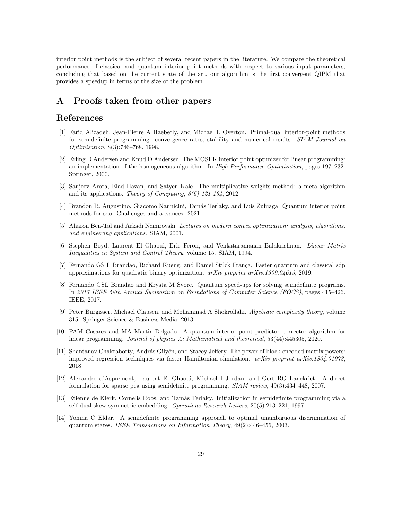interior point methods is the subject of several recent papers in the literature. We compare the theoretical performance of classical and quantum interior point methods with respect to various input parameters, concluding that based on the current state of the art, our algorithm is the first convergent QIPM that provides a speedup in terms of the size of the problem.

# A Proofs taken from other papers

# References

- [1] Farid Alizadeh, Jean-Pierre A Haeberly, and Michael L Overton. Primal-dual interior-point methods for semidefinite programming: convergence rates, stability and numerical results. SIAM Journal on Optimization, 8(3):746–768, 1998.
- [2] Erling D Andersen and Knud D Andersen. The MOSEK interior point optimizer for linear programming: an implementation of the homogeneous algorithm. In High Performance Optimization, pages 197–232. Springer, 2000.
- [3] Sanjeev Arora, Elad Hazan, and Satyen Kale. The multiplicative weights method: a meta-algorithm and its applications. Theory of Computing,  $8(6)$  121-164, 2012.
- [4] Brandon R. Augustino, Giacomo Nannicini, Tam´as Terlaky, and Luis Zuluaga. Quantum interior point methods for sdo: Challenges and advances. 2021.
- [5] Aharon Ben-Tal and Arkadi Nemirovski. Lectures on modern convex optimization: analysis, algorithms, and engineering applications. SIAM, 2001.
- [6] Stephen Boyd, Laurent El Ghaoui, Eric Feron, and Venkataramanan Balakrishnan. Linear Matrix Inequalities in System and Control Theory, volume 15. SIAM, 1994.
- [7] Fernando GS L Brandao, Richard Kueng, and Daniel Stilck França. Faster quantum and classical sdp approximations for quadratic binary optimization. arXiv preprint arXiv:1909.04613, 2019.
- [8] Fernando GSL Brandao and Krysta M Svore. Quantum speed-ups for solving semidefinite programs. In 2017 IEEE 58th Annual Symposium on Foundations of Computer Science (FOCS), pages 415–426. IEEE, 2017.
- [9] Peter Bürgisser, Michael Clausen, and Mohammad A Shokrollahi. Algebraic complexity theory, volume 315. Springer Science & Business Media, 2013.
- [10] PAM Casares and MA Martin-Delgado. A quantum interior-point predictor–corrector algorithm for linear programming. Journal of physics A: Mathematical and theoretical, 53(44):445305, 2020.
- [11] Shantanav Chakraborty, András Gilyén, and Stacey Jeffery. The power of block-encoded matrix powers: improved regression techniques via faster Hamiltonian simulation. arXiv preprint arXiv:1804.01973, 2018.
- [12] Alexandre d'Aspremont, Laurent El Ghaoui, Michael I Jordan, and Gert RG Lanckriet. A direct formulation for sparse pca using semidefinite programming. SIAM review, 49(3):434–448, 2007.
- [13] Etienne de Klerk, Cornelis Roos, and Tamás Terlaky. Initialization in semidefinite programming via a self-dual skew-symmetric embedding. Operations Research Letters, 20(5):213–221, 1997.
- [14] Yonina C Eldar. A semidefinite programming approach to optimal unambiguous discrimination of quantum states. IEEE Transactions on Information Theory, 49(2):446–456, 2003.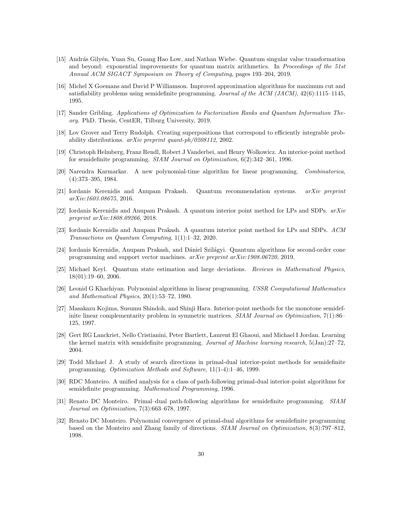- [15] András Gilyén, Yuan Su, Guang Hao Low, and Nathan Wiebe. Quantum singular value transformation and beyond: exponential improvements for quantum matrix arithmetics. In Proceedings of the 51st Annual ACM SIGACT Symposium on Theory of Computing, pages 193–204, 2019.
- [16] Michel X Goemans and David P Williamson. Improved approximation algorithms for maximum cut and satisfiability problems using semidefinite programming. Journal of the ACM (JACM), 42(6):1115–1145, 1995.
- [17] Sander Gribling. Applications of Optimization to Factorization Ranks and Quantum Information Theory. PhD. Thesis, CentER, Tilburg University, 2019.
- [18] Lov Grover and Terry Rudolph. Creating superpositions that correspond to efficiently integrable probability distributions. arXiv preprint quant-ph/0208112, 2002.
- [19] Christoph Helmberg, Franz Rendl, Robert J Vanderbei, and Henry Wolkowicz. An interior-point method for semidefinite programming. SIAM Journal on Optimization, 6(2):342–361, 1996.
- [20] Narendra Karmarkar. A new polynomial-time algorithm for linear programming. Combinatorica, (4):373–395, 1984.
- [21] Iordanis Kerenidis and Anupam Prakash. Quantum recommendation systems. arXiv preprint arXiv:1603.08675, 2016.
- [22] Iordanis Kerenidis and Anupam Prakash. A quantum interior point method for LPs and SDPs.  $arXiv$ preprint arXiv:1808.09266, 2018.
- [23] Iordanis Kerenidis and Anupam Prakash. A quantum interior point method for LPs and SDPs. ACM Transactions on Quantum Computing, 1(1):1–32, 2020.
- [24] Iordanis Kerenidis, Anupam Prakash, and Dániel Szilágyi. Quantum algorithms for second-order cone programming and support vector machines. arXiv preprint arXiv:1908.06720, 2019.
- [25] Michael Keyl. Quantum state estimation and large deviations. Reviews in Mathematical Physics, 18(01):19–60, 2006.
- [26] Leonid G Khachiyan. Polynomial algorithms in linear programming. USSR Computational Mathematics and Mathematical Physics, 20(1):53–72, 1980.
- [27] Masakazu Kojima, Susumu Shindoh, and Shinji Hara. Interior-point methods for the monotone semidefinite linear complementarity problem in symmetric matrices. *SIAM Journal on Optimization*, 7(1):86– 125, 1997.
- [28] Gert RG Lanckriet, Nello Cristianini, Peter Bartlett, Laurent El Ghaoui, and Michael I Jordan. Learning the kernel matrix with semidefinite programming. Journal of Machine learning research, 5(Jan):27–72, 2004.
- [29] Todd Michael J. A study of search directions in primal-dual interior-point methods for semidefinite programming. Optimization Methods and Software, 11(1-4):1–46, 1999.
- [30] RDC Monteiro. A unified analysis for a class of path-following primal-dual interior-point algorithms for semidefinite programming. Mathematical Programming, 1996.
- [31] Renato DC Monteiro. Primal–dual path-following algorithms for semidefinite programming. SIAM Journal on Optimization, 7(3):663–678, 1997.
- [32] Renato DC Monteiro. Polynomial convergence of primal-dual algorithms for semidefinite programming based on the Monteiro and Zhang family of directions. SIAM Journal on Optimization, 8(3):797–812, 1998.